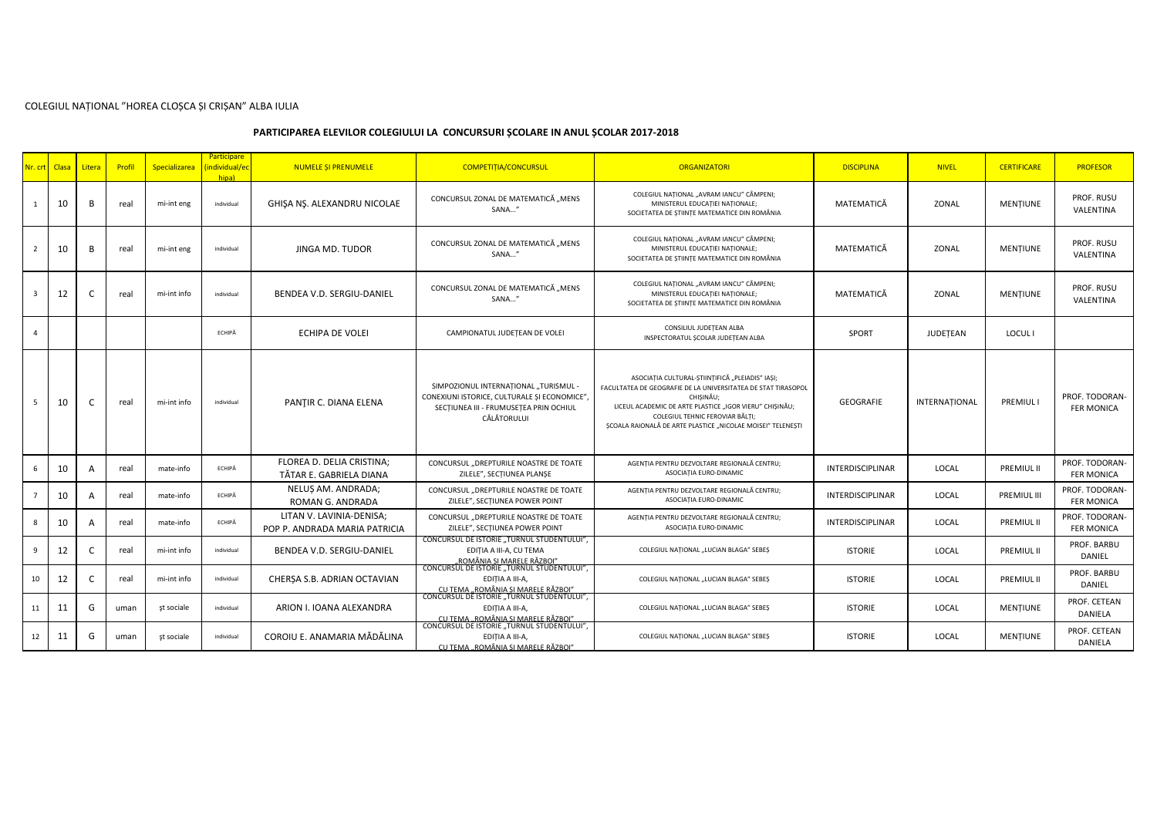## COLEGIUL NAȚIONAL "HOREA CLOȘCA ȘI CRIȘAN" ALBA IULIA

## **PARTICIPAREA ELEVILOR COLEGIULUI LA CONCURSURI ȘCOLARE IN ANUL ȘCOLAR 2017-2018**

|                         | Nr. crt Clasa | Litera         | Profil | Specializarea | Participare<br>individual/ed)<br>hina) | <b>NUMELE SI PRENUMELE</b>                                | <b>COMPETITIA/CONCURSUL</b>                                                                                                                    | <b>ORGANIZATORI</b>                                                                                                                                                                                                                                                                        | <b>DISCIPLINA</b>       | <b>NIVEL</b>  | <b>CERTIFICARE</b> | <b>PROFESOR</b>                     |
|-------------------------|---------------|----------------|--------|---------------|----------------------------------------|-----------------------------------------------------------|------------------------------------------------------------------------------------------------------------------------------------------------|--------------------------------------------------------------------------------------------------------------------------------------------------------------------------------------------------------------------------------------------------------------------------------------------|-------------------------|---------------|--------------------|-------------------------------------|
| $\mathbf{1}$            | 10            | B              | real   | mi-int eng    | individual                             | GHIŞA NŞ. ALEXANDRU NICOLAE                               | CONCURSUL ZONAL DE MATEMATICĂ "MENS<br>SANA"                                                                                                   | COLEGIUL NATIONAL "AVRAM IANCU" CÂMPENI;<br>MINISTERUL EDUCATIEI NATIONALE;<br>SOCIETATEA DE STIINTE MATEMATICE DIN ROMÂNIA                                                                                                                                                                | MATEMATICĂ              | ZONAL         | MENTIUNE           | PROF. RUSU<br>VALENTINA             |
| $\overline{2}$          | 10            | B              | real   | mi-int eng    | individual                             | JINGA MD. TUDOR                                           | CONCURSUL ZONAL DE MATEMATICĂ "MENS<br>SANA"                                                                                                   | COLEGIUL NATIONAL "AVRAM IANCU" CÂMPENI;<br>MINISTERUL EDUCATIEI NATIONALE;<br>SOCIETATEA DE ȘTIINȚE MATEMATICE DIN ROMÂNIA                                                                                                                                                                | MATEMATICĂ              | ZONAL         | <b>MENTIUNE</b>    | PROF. RUSU<br>VALENTINA             |
| $\overline{\mathbf{3}}$ | 12            | C              | real   | mi-int info   | individual                             | BENDEA V.D. SERGIU-DANIEL                                 | CONCURSUL ZONAL DE MATEMATICĂ "MENS<br>SANA"                                                                                                   | COLEGIUL NATIONAL "AVRAM IANCU" CÂMPENI;<br>MINISTERUL EDUCATIEI NATIONALE;<br>SOCIETATEA DE STIINTE MATEMATICE DIN ROMÂNIA                                                                                                                                                                | MATEMATICĂ              | ZONAL         | <b>MENTIUNE</b>    | PROF. RUSU<br>VALENTINA             |
| $\Delta$                |               |                |        |               | ECHIPĂ                                 | ECHIPA DE VOLEI                                           | CAMPIONATUL JUDEȚEAN DE VOLEI                                                                                                                  | CONSILIUL JUDETEAN ALBA<br>INSPECTORATUL SCOLAR JUDETEAN ALBA                                                                                                                                                                                                                              | <b>SPORT</b>            | JUDETEAN      | <b>LOCUL I</b>     |                                     |
| 5                       | 10            | C              | real   | mi-int info   | individual                             | PANTIR C. DIANA ELENA                                     | SIMPOZIONUL INTERNATIONAL "TURISMUL -<br>CONEXIUNI ISTORICE, CULTURALE SI ECONOMICE",<br>SECTIUNEA III - FRUMUSETEA PRIN OCHIUL<br>CĂLĂTORULUI | ASOCIAȚIA CULTURAL-ȘTIINȚIFICĂ "PLEIADIS" IAȘI;<br>FACULTATEA DE GEOGRAFIE DE LA UNIVERSITATEA DE STAT TIRASOPOL<br>CHISINĂU;<br>LICEUL ACADEMIC DE ARTE PLASTICE "IGOR VIERU" CHIȘINĂU;<br>COLEGIUL TEHNIC FEROVIAR BĂLTI;<br>SCOALA RAIONALĂ DE ARTE PLASTICE "NICOLAE MOISEI" TELENESTI | GEOGRAFIE               | INTERNATIONAL | <b>PREMIULI</b>    | PROF. TODORAN-<br><b>FER MONICA</b> |
| 6                       | 10            | A              | real   | mate-info     | ECHIPĂ                                 | FLOREA D. DELIA CRISTINA:<br>TĂTAR E. GABRIELA DIANA      | CONCURSUL "DREPTURILE NOASTRE DE TOATE<br>ZILELE", SECTIUNEA PLANSE                                                                            | AGENTIA PENTRU DEZVOLTARE REGIONALĂ CENTRU;<br>ASOCIATIA EURO-DINAMIC                                                                                                                                                                                                                      | <b>INTERDISCIPLINAR</b> | LOCAL         | PREMIUL II         | PROF. TODORAN-<br><b>FER MONICA</b> |
|                         | 10            | A              | real   | mate-info     | ECHIPĂ                                 | NELUS AM. ANDRADA:<br>ROMAN G. ANDRADA                    | CONCURSUL "DREPTURILE NOASTRE DE TOATE<br>ZILELE", SECTIUNEA POWER POINT                                                                       | AGENTIA PENTRU DEZVOLTARE REGIONALĂ CENTRU;<br>ASOCIATIA EURO-DINAMIC                                                                                                                                                                                                                      | <b>INTERDISCIPLINAR</b> | LOCAL         | PREMIUL III        | PROF. TODORAN-<br><b>FER MONICA</b> |
| 8                       | 10            | $\overline{A}$ | real   | mate-info     | ECHIPĂ                                 | LITAN V. LAVINIA-DENISA:<br>POP P. ANDRADA MARIA PATRICIA | CONCURSUL "DREPTURILE NOASTRE DE TOATE<br>ZILELE", SECTIUNEA POWER POINT                                                                       | AGENTIA PENTRU DEZVOLTARE REGIONALĂ CENTRU;<br>ASOCIATIA EURO-DINAMIC                                                                                                                                                                                                                      | <b>INTERDISCIPLINAR</b> | LOCAL         | PREMIUL II         | PROF. TODORAN-<br><b>FER MONICA</b> |
| 9                       | 12            | C              | real   | mi-int info   | individual                             | BENDEA V.D. SERGIU-DANIEL                                 | CONCURSUL DE ISTORIE "TURNUL STUDENTULUI",<br>EDITIA A III-A, CU TEMA<br>ROMÂNIA SI MARELE RĂZBOI"                                             | COLEGIUL NATIONAL "LUCIAN BLAGA" SEBES                                                                                                                                                                                                                                                     | <b>ISTORIE</b>          | LOCAL         | PREMIUL II         | PROF. BARBU<br>DANIEL               |
| 10                      | 12            | C              | real   | mi-int info   | individual                             | CHERȘA S.B. ADRIAN OCTAVIAN                               | CONCURSUL DE ISTORIE "TURNUL STUDENTULUI",<br>EDITIA A III-A,<br>CU TEMA "ROMÂNIA SI MARELE RĂZBOI"                                            | COLEGIUL NATIONAL "LUCIAN BLAGA" SEBES                                                                                                                                                                                                                                                     | <b>ISTORIE</b>          | LOCAL         | <b>PREMIUL II</b>  | PROF. BARBU<br>DANIEL               |
| 11                      | 11            | G              | uman   | st sociale    | individual                             | ARION I. IOANA ALEXANDRA                                  | CONCURSUL DE ISTORIE "TURNUL STUDENTULUI"<br>EDITIA A III-A,                                                                                   | COLEGIUL NATIONAL "LUCIAN BLAGA" SEBES                                                                                                                                                                                                                                                     | <b>ISTORIE</b>          | LOCAL         | MENTIUNE           | PROF. CETEAN<br>DANIELA             |
| 12                      | 11            | G              | uman   | st sociale    | individual                             | COROIU E. ANAMARIA MĂDĂLINA                               | CU TEMA "ROMÂNIA ȘI MARELE RĂZBOI"<br>CONCURSUL DE ISTORIE "TURNUL STUDENTULUI",<br>EDITIA A III-A,<br>CU TEMA "ROMÂNIA SI MARELE RĂZBOI"      | COLEGIUL NATIONAL "LUCIAN BLAGA" SEBES                                                                                                                                                                                                                                                     | <b>ISTORIE</b>          | <b>LOCAL</b>  | MENTIUNE           | PROF. CETEAN<br>DANIELA             |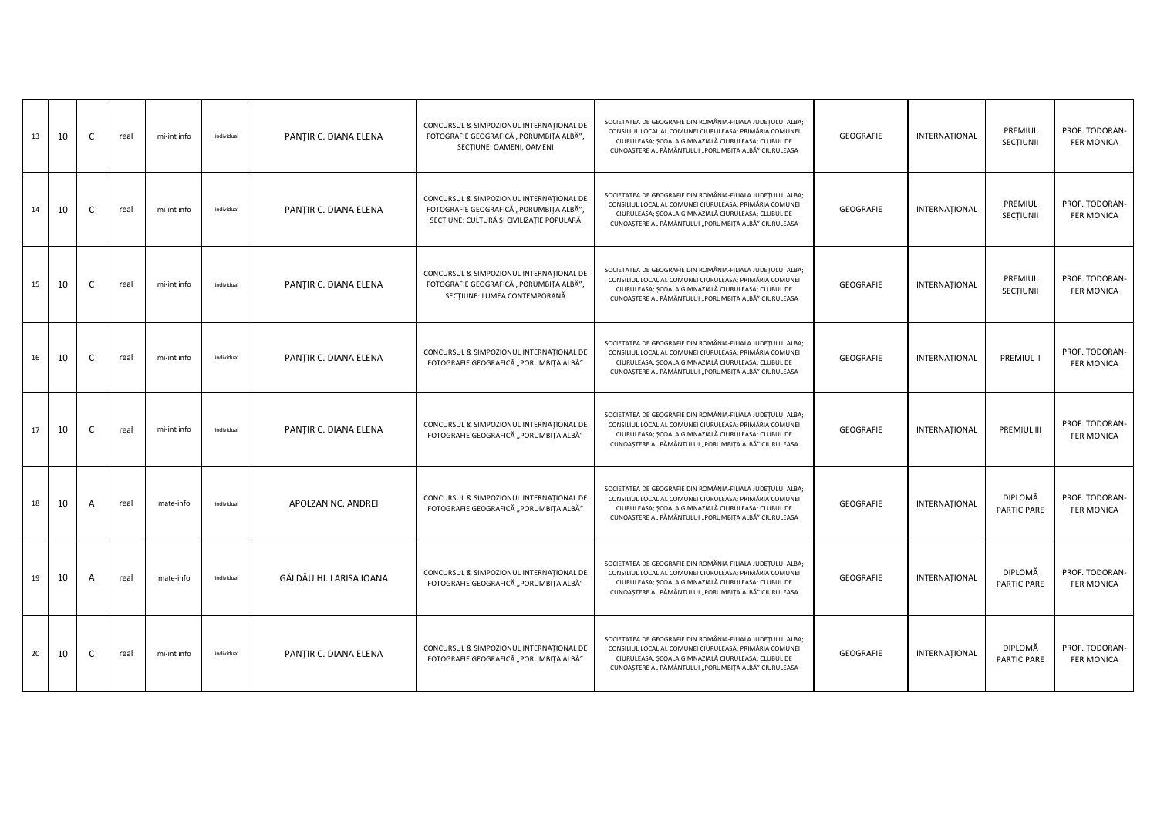| 13 | 10 | C  | real | mi-int info | individual | PANȚIR C. DIANA ELENA   | CONCURSUL & SIMPOZIONUL INTERNATIONAL DE<br>FOTOGRAFIE GEOGRAFICĂ "PORUMBIȚA ALBĂ",<br>SECTIUNE: OAMENI, OAMENI                  | SOCIETATEA DE GEOGRAFIE DIN ROMÂNIA-FILIALA JUDEȚULUI ALBA;<br>CONSILIUL LOCAL AL COMUNEI CIURULEASA; PRIMĂRIA COMUNEI<br>CIURULEASA; ȘCOALA GIMNAZIALĂ CIURULEASA; CLUBUL DE<br>CUNOAȘTERE AL PĂMÂNTULUI "PORUMBIȚA ALBĂ" CIURULEASA | GEOGRAFIE | INTERNAȚIONAL | PREMIUL<br>SECȚIUNII   | PROF. TODORAN-<br><b>FER MONICA</b> |
|----|----|----|------|-------------|------------|-------------------------|----------------------------------------------------------------------------------------------------------------------------------|---------------------------------------------------------------------------------------------------------------------------------------------------------------------------------------------------------------------------------------|-----------|---------------|------------------------|-------------------------------------|
| 14 | 10 |    | real | mi-int info | individual | PANȚIR C. DIANA ELENA   | CONCURSUL & SIMPOZIONUL INTERNATIONAL DE<br>FOTOGRAFIE GEOGRAFICĂ "PORUMBIȚA ALBĂ",<br>SECȚIUNE: CULTURĂ ȘI CIVILIZAȚIE POPULARĂ | SOCIETATEA DE GEOGRAFIE DIN ROMÂNIA-FILIALA JUDEȚULUI ALBA;<br>CONSILIUL LOCAL AL COMUNEI CIURULEASA; PRIMĂRIA COMUNEI<br>CIURULEASA; ȘCOALA GIMNAZIALĂ CIURULEASA; CLUBUL DE<br>CUNOAȘTERE AL PĂMÂNTULUI "PORUMBIȚA ALBĂ" CIURULEASA | GEOGRAFIE | INTERNATIONAL | PREMIUL<br>SECTIUNII   | PROF. TODORAN-<br><b>FER MONICA</b> |
| 15 | 10 |    | real | mi-int info | individual | PANȚIR C. DIANA ELENA   | CONCURSUL & SIMPOZIONUL INTERNAȚIONAL DE<br>FOTOGRAFIE GEOGRAFICĂ "PORUMBIȚA ALBĂ",<br>SECTIUNE: LUMEA CONTEMPORANĂ              | SOCIETATEA DE GEOGRAFIE DIN ROMÂNIA-FILIALA JUDEȚULUI ALBA;<br>CONSILIUL LOCAL AL COMUNEI CIURULEASA; PRIMĂRIA COMUNEI<br>CIURULEASA; ȘCOALA GIMNAZIALĂ CIURULEASA; CLUBUL DE<br>CUNOAȘTERE AL PĂMÂNTULUI "PORUMBIȚA ALBĂ" CIURULEASA | GEOGRAFIE | INTERNATIONAL | PREMIUL<br>SECTIUNII   | PROF. TODORAN-<br><b>FER MONICA</b> |
| 16 | 10 | C  | real | mi-int info | individual | PANȚIR C. DIANA ELENA   | CONCURSUL & SIMPOZIONUL INTERNAȚIONAL DE<br>FOTOGRAFIE GEOGRAFICĂ "PORUMBIȚA ALBĂ"                                               | SOCIETATEA DE GEOGRAFIE DIN ROMÂNIA-FILIALA JUDEȚULUI ALBA;<br>CONSILIUL LOCAL AL COMUNEI CIURULEASA; PRIMĂRIA COMUNEI<br>CIURULEASA; ȘCOALA GIMNAZIALĂ CIURULEASA; CLUBUL DE<br>CUNOAȘTERE AL PĂMÂNTULUI "PORUMBIȚA ALBĂ" CIURULEASA | GEOGRAFIE | INTERNATIONAL | PREMIUL II             | PROF. TODORAN-<br><b>FER MONICA</b> |
| 17 | 10 | -C | real | mi-int info | individual | PANȚIR C. DIANA ELENA   | CONCURSUL & SIMPOZIONUL INTERNAȚIONAL DE<br>FOTOGRAFIE GEOGRAFICĂ "PORUMBIȚA ALBĂ"                                               | SOCIETATEA DE GEOGRAFIE DIN ROMÂNIA-FILIALA JUDEȚULUI ALBA;<br>CONSILIUL LOCAL AL COMUNEI CIURULEASA; PRIMĂRIA COMUNEI<br>CIURULEASA; ȘCOALA GIMNAZIALĂ CIURULEASA; CLUBUL DE<br>CUNOAȘTERE AL PĂMÂNTULUI "PORUMBIȚA ALBĂ" CIURULEASA | GEOGRAFIE | INTERNATIONAL | <b>PREMIUL III</b>     | PROF. TODORAN-<br><b>FER MONICA</b> |
| 18 | 10 | A  | real | mate-info   | individual | APOLZAN NC. ANDREI      | CONCURSUL & SIMPOZIONUL INTERNATIONAL DE<br>FOTOGRAFIE GEOGRAFICĂ "PORUMBIȚA ALBĂ"                                               | SOCIETATEA DE GEOGRAFIE DIN ROMÂNIA-FILIALA JUDEȚULUI ALBA;<br>CONSILIUL LOCAL AL COMUNEI CIURULEASA; PRIMĂRIA COMUNEI<br>CIURULEASA; ȘCOALA GIMNAZIALĂ CIURULEASA; CLUBUL DE<br>CUNOAȘTERE AL PĂMÂNTULUI "PORUMBIȚA ALBĂ" CIURULEASA | GEOGRAFIE | INTERNATIONAL | DIPLOMĂ<br>PARTICIPARE | PROF. TODORAN-<br><b>FER MONICA</b> |
| 19 | 10 | A  | real | mate-info   | individual | GĂLDĂU HI. LARISA IOANA | CONCURSUL & SIMPOZIONUL INTERNAȚIONAL DE<br>FOTOGRAFIE GEOGRAFICĂ "PORUMBIȚA ALBĂ"                                               | SOCIETATEA DE GEOGRAFIE DIN ROMÂNIA-FILIALA JUDEȚULUI ALBA;<br>CONSILIUL LOCAL AL COMUNEI CIURULEASA; PRIMĂRIA COMUNEI<br>CIURULEASA; ȘCOALA GIMNAZIALĂ CIURULEASA; CLUBUL DE<br>CUNOAȘTERE AL PĂMÂNTULUI "PORUMBIȚA ALBĂ" CIURULEASA | GEOGRAFIE | INTERNATIONAL | DIPLOMĂ<br>PARTICIPARE | PROF. TODORAN-<br><b>FER MONICA</b> |
| 20 | 10 | -C | real | mi-int info | individual | PANȚIR C. DIANA ELENA   | CONCURSUL & SIMPOZIONUL INTERNATIONAL DE<br>FOTOGRAFIE GEOGRAFICĂ "PORUMBIȚA ALBĂ"                                               | SOCIETATEA DE GEOGRAFIE DIN ROMÂNIA-FILIALA JUDEȚULUI ALBA;<br>CONSILIUL LOCAL AL COMUNEI CIURULEASA; PRIMĂRIA COMUNEI<br>CIURULEASA; ȘCOALA GIMNAZIALĂ CIURULEASA; CLUBUL DE<br>CUNOAȘTERE AL PĂMÂNTULUI "PORUMBIȚA ALBĂ" CIURULEASA | GEOGRAFIE | INTERNATIONAL | DIPLOMĂ<br>PARTICIPARE | PROF. TODORAN-<br><b>FER MONICA</b> |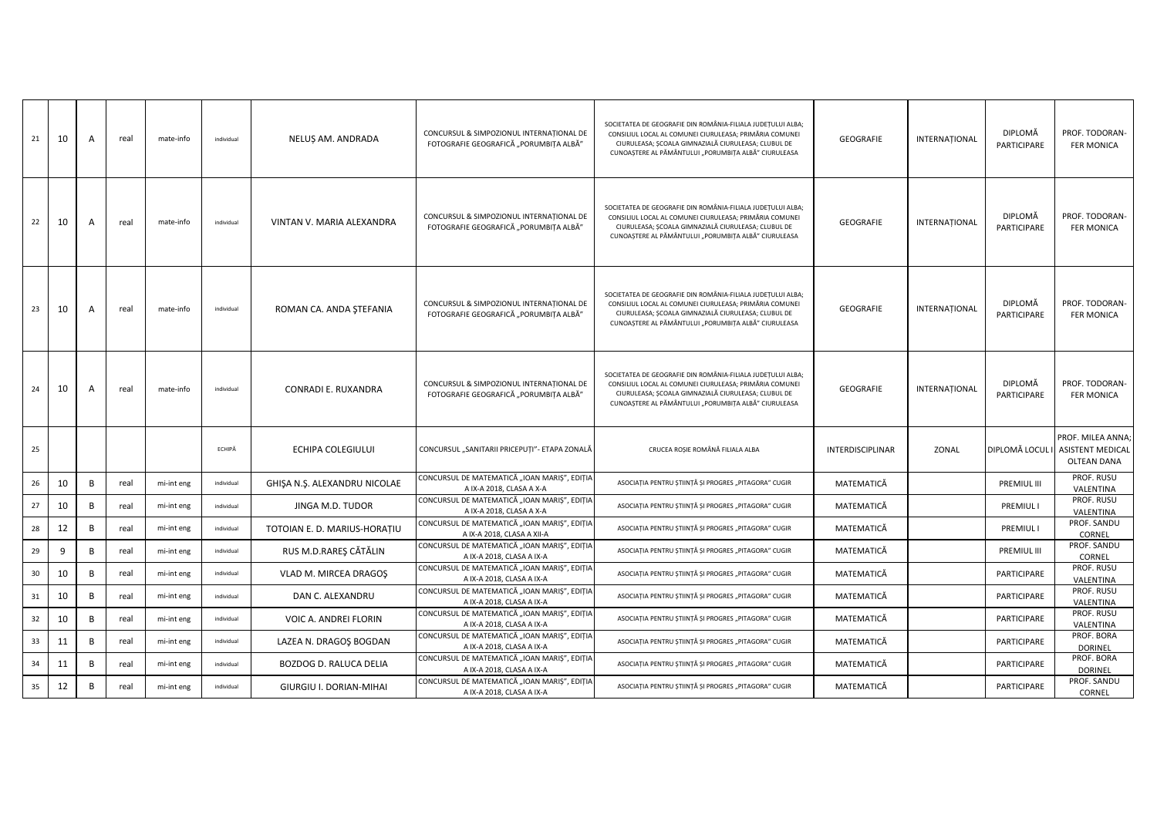| 21 | 10 | A | real | mate-info  | individual | NELUȘ AM. ANDRADA             | CONCURSUL & SIMPOZIONUL INTERNATIONAL DE<br>FOTOGRAFIE GEOGRAFICĂ "PORUMBIȚA ALBĂ" | SOCIETATEA DE GEOGRAFIE DIN ROMÂNIA-FILIALA JUDEȚULUI ALBA;<br>CONSILIUL LOCAL AL COMUNEI CIURULEASA; PRIMĂRIA COMUNEI<br>CIURULEASA; ȘCOALA GIMNAZIALĂ CIURULEASA; CLUBUL DE<br>CUNOAȘTERE AL PĂMÂNTULUI "PORUMBIȚA ALBĂ" CIURULEASA | GEOGRAFIE        | INTERNAȚIONAL | DIPLOMĂ<br>PARTICIPARE | PROF. TODORAN-<br><b>FER MONICA</b>                                |
|----|----|---|------|------------|------------|-------------------------------|------------------------------------------------------------------------------------|---------------------------------------------------------------------------------------------------------------------------------------------------------------------------------------------------------------------------------------|------------------|---------------|------------------------|--------------------------------------------------------------------|
| 22 | 10 | A | real | mate-info  | individual | VINTAN V. MARIA ALEXANDRA     | CONCURSUL & SIMPOZIONUL INTERNATIONAL DE<br>FOTOGRAFIE GEOGRAFICĂ "PORUMBIȚA ALBĂ" | SOCIETATEA DE GEOGRAFIE DIN ROMÂNIA-FILIALA JUDEȚULUI ALBA;<br>CONSILIUL LOCAL AL COMUNEI CIURULEASA; PRIMĂRIA COMUNEI<br>CIURULEASA; ȘCOALA GIMNAZIALĂ CIURULEASA; CLUBUL DE<br>CUNOAȘTERE AL PĂMÂNTULUI "PORUMBIȚA ALBĂ" CIURULEASA | GEOGRAFIE        | INTERNAȚIONAL | DIPLOMĂ<br>PARTICIPARE | PROF. TODORAN-<br><b>FER MONICA</b>                                |
| 23 | 10 | A | real | mate-info  | individual | ROMAN CA. ANDA ŞTEFANIA       | CONCURSUL & SIMPOZIONUL INTERNAȚIONAL DE<br>FOTOGRAFIE GEOGRAFICĂ "PORUMBIȚA ALBĂ" | SOCIETATEA DE GEOGRAFIE DIN ROMÂNIA-FILIALA JUDETULUI ALBA;<br>CONSILIUL LOCAL AL COMUNEI CIURULEASA; PRIMĂRIA COMUNEI<br>CIURULEASA; ȘCOALA GIMNAZIALĂ CIURULEASA; CLUBUL DE<br>CUNOAȘTERE AL PĂMÂNTULUI "PORUMBIȚA ALBĂ" CIURULEASA | GEOGRAFIE        | INTERNATIONAL | DIPLOMĂ<br>PARTICIPARE | PROF. TODORAN-<br><b>FER MONICA</b>                                |
| 24 | 10 | A | real | mate-info  | individual | CONRADI E. RUXANDRA           | CONCURSUL & SIMPOZIONUL INTERNAȚIONAL DE<br>FOTOGRAFIE GEOGRAFICĂ "PORUMBIȚA ALBĂ" | SOCIETATEA DE GEOGRAFIE DIN ROMÂNIA-FILIALA JUDEȚULUI ALBA;<br>CONSILIUL LOCAL AL COMUNEI CIURULEASA; PRIMĂRIA COMUNEI<br>CIURULEASA; ȘCOALA GIMNAZIALĂ CIURULEASA; CLUBUL DE<br>CUNOAȘTERE AL PĂMÂNTULUI "PORUMBIȚA ALBĂ" CIURULEASA | GEOGRAFIE        | INTERNATIONAL | DIPLOMĂ<br>PARTICIPARE | PROF. TODORAN-<br><b>FER MONICA</b>                                |
| 25 |    |   |      |            | ECHIPĂ     | ECHIPA COLEGIULUI             | CONCURSUL "SANITARII PRICEPUȚI"- ETAPA ZONALĂ                                      | CRUCEA ROȘIE ROMÂNĂ FILIALA ALBA                                                                                                                                                                                                      | INTERDISCIPLINAR | ZONAL         | DIPLOMĂ LOCUL I        | PROF. MILEA ANNA;<br><b>ASISTENT MEDICAL</b><br><b>OLTEAN DANA</b> |
| 26 | 10 | B | real | mi-int eng | individual | GHIŞA N.Ş. ALEXANDRU NICOLAE  | CONCURSUL DE MATEMATICĂ "IOAN MARIȘ", EDIȚIA<br>A IX-A 2018, CLASA A X-A           | ASOCIAȚIA PENTRU ȘTIINȚĂ ȘI PROGRES "PITAGORA" CUGIR                                                                                                                                                                                  | MATEMATICĂ       |               | PREMIUL III            | PROF. RUSU<br>VALENTINA                                            |
| 27 | 10 | B | real | mi-int eng | individual | JINGA M.D. TUDOR              | CONCURSUL DE MATEMATICĂ "IOAN MARIȘ", EDIȚIA<br>A IX-A 2018, CLASA A X-A           | ASOCIAȚIA PENTRU ȘTIINȚĂ ȘI PROGRES "PITAGORA" CUGIR                                                                                                                                                                                  | MATEMATICĂ       |               | <b>PREMIULI</b>        | PROF. RUSU<br>VALENTINA                                            |
| 28 | 12 | B | real | mi-int eng | individual | TOTOIAN E. D. MARIUS-HORATIU  | CONCURSUL DE MATEMATICĂ "IOAN MARIȘ", EDIȚIA<br>A IX-A 2018, CLASA A XII-A         | ASOCIAȚIA PENTRU ȘTIINȚĂ ȘI PROGRES "PITAGORA" CUGIR                                                                                                                                                                                  | MATEMATICĂ       |               | PREMIUL I              | PROF. SANDU<br>CORNEL                                              |
| 29 | 9  | B | real | mi-int eng | individual | RUS M.D.RAREŞ CĂTĂLIN         | CONCURSUL DE MATEMATICĂ "IOAN MARIȘ", EDIȚIA<br>A IX-A 2018, CLASA A IX-A          | ASOCIAȚIA PENTRU ȘTIINȚĂ ȘI PROGRES "PITAGORA" CUGIR                                                                                                                                                                                  | MATEMATICĂ       |               | PREMIUL III            | PROF. SANDU<br>CORNEL                                              |
| 30 | 10 | B | real | mi-int eng | individual | VLAD M. MIRCEA DRAGOŞ         | CONCURSUL DE MATEMATICĂ "IOAN MARIȘ", EDIȚIA<br>A IX-A 2018, CLASA A IX-A          | ASOCIAȚIA PENTRU ȘTIINȚĂ ȘI PROGRES "PITAGORA" CUGIR                                                                                                                                                                                  | MATEMATICĂ       |               | PARTICIPARE            | PROF. RUSU<br>VALENTINA                                            |
| 31 | 10 | B | real | mi-int eng | individual | DAN C. ALEXANDRU              | CONCURSUL DE MATEMATICĂ "IOAN MARIȘ", EDIȚIA<br>A IX-A 2018, CLASA A IX-A          | ASOCIAȚIA PENTRU ȘTIINȚĂ ȘI PROGRES "PITAGORA" CUGIR                                                                                                                                                                                  | MATEMATICĂ       |               | PARTICIPARE            | PROF. RUSU<br>VALENTINA                                            |
| 32 | 10 | B | real | mi-int eng | individual | VOIC A. ANDREI FLORIN         | CONCURSUL DE MATEMATICĂ "IOAN MARIȘ", EDIȚIA<br>A IX-A 2018, CLASA A IX-A          | ASOCIAȚIA PENTRU ȘTIINȚĂ ȘI PROGRES "PITAGORA" CUGIR                                                                                                                                                                                  | MATEMATICĂ       |               | PARTICIPARE            | PROF. RUSU<br>VALENTINA                                            |
| 33 | 11 | B | real | mi-int eng | individual | LAZEA N. DRAGOȘ BOGDAN        | CONCURSUL DE MATEMATICĂ "IOAN MARIȘ", EDIȚIA<br>A IX-A 2018, CLASA A IX-A          | ASOCIAȚIA PENTRU ȘTIINȚĂ ȘI PROGRES "PITAGORA" CUGIR                                                                                                                                                                                  | MATEMATICĂ       |               | PARTICIPARE            | PROF. BORA<br><b>DORINEL</b>                                       |
| 34 | 11 | B | real | mi-int eng | individual | <b>BOZDOG D. RALUCA DELIA</b> | CONCURSUL DE MATEMATICĂ "IOAN MARIȘ", EDIȚIA<br>A IX-A 2018, CLASA A IX-A          | ASOCIAȚIA PENTRU ȘTIINȚĂ ȘI PROGRES "PITAGORA" CUGIR                                                                                                                                                                                  | MATEMATICĂ       |               | PARTICIPARE            | PROF. BORA<br><b>DORINEL</b>                                       |
| 35 | 12 | B | real | mi-int eng | individual | GIURGIU I. DORIAN-MIHAI       | CONCURSUL DE MATEMATICĂ "IOAN MARIȘ", EDIȚIA<br>A IX-A 2018, CLASA A IX-A          | ASOCIAȚIA PENTRU ȘTIINȚĂ ȘI PROGRES "PITAGORA" CUGIR                                                                                                                                                                                  | MATEMATICĂ       |               | PARTICIPARE            | PROF. SANDU<br>CORNEL                                              |
|    |    |   |      |            |            |                               |                                                                                    |                                                                                                                                                                                                                                       |                  |               |                        |                                                                    |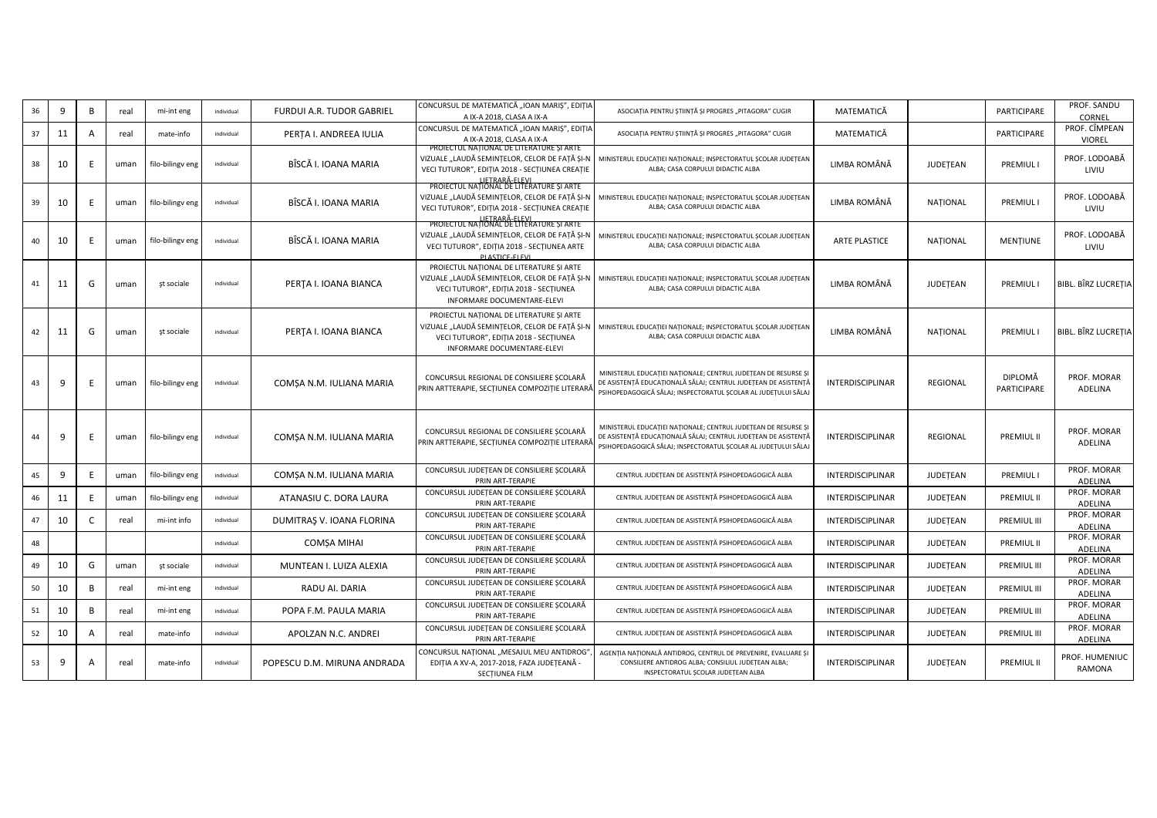| 36 | q  | B | real | mi-int eng       | individual | FURDUI A.R. TUDOR GABRIEL   | CONCURSUL DE MATEMATICĂ "IOAN MARIȘ", EDIȚIA<br>A IX-A 2018, CLASA A IX-A                                                                                          | ASOCIAȚIA PENTRU ȘTIINȚĂ ȘI PROGRES "PITAGORA" CUGIR                                                                                                                                               | MATEMATICĂ              |                 | PARTICIPARE            | PROF. SANDU<br>CORNEL      |
|----|----|---|------|------------------|------------|-----------------------------|--------------------------------------------------------------------------------------------------------------------------------------------------------------------|----------------------------------------------------------------------------------------------------------------------------------------------------------------------------------------------------|-------------------------|-----------------|------------------------|----------------------------|
| 37 | 11 | A | real | mate-info        | individual | PERTA I. ANDREEA IULIA      | CONCURSUL DE MATEMATICĂ "IOAN MARIȘ", EDIȚIA<br>A IX-A 2018, CLASA A IX-A                                                                                          | ASOCIAȚIA PENTRU ȘTIINȚĂ ȘI PROGRES "PITAGORA" CUGIR                                                                                                                                               | MATEMATICĂ              |                 | PARTICIPARE            | PROF. CÎMPEAN<br>VIOREL    |
| 38 | 10 | E | uman | filo-bilingv eng | individual | BÎSCĂ I. IOANA MARIA        | PROJECTUL NATIONAL DE LITERATURE ȘI ARTE<br>VIZUALE "LAUDĂ SEMINȚELOR, CELOR DE FAȚĂ ȘI-N<br>VECI TUTUROR", EDIȚIA 2018 - SECȚIUNEA CREAȚIE                        | MINISTERUL EDUCAȚIEI NAȚIONALE; INSPECTORATUL ȘCOLAR JUDEȚEAN<br>ALBA; CASA CORPULUI DIDACTIC ALBA                                                                                                 | LIMBA ROMÂNĂ            | JUDETEAN        | PREMIUL I              | PROF. LODOABĂ<br>LIVIU     |
| 39 | 10 | E | uman | filo-bilingv eng | individual | BÎSCĂ I. IOANA MARIA        | LIETRARĂ-ELEVI<br>PROIECTUL NAȚIONAL DE LITERATURE ȘI ARTE<br>VIZUALE "LAUDĂ SEMINȚELOR, CELOR DE FAȚĂ ȘI-N<br>VECI TUTUROR", EDIȚIA 2018 - SECȚIUNEA CREAȚIE      | MINISTERUL EDUCAȚIEI NAȚIONALE; INSPECTORATUL ȘCOLAR JUDEȚEAN<br>ALBA; CASA CORPULUI DIDACTIC ALBA                                                                                                 | LIMBA ROMÂNĂ            | <b>NATIONAL</b> | <b>PREMIUL I</b>       | PROF. LODOABĂ<br>LIVIU     |
| 40 | 10 |   | uman | filo-bilingv eng | individual | BÎSCĂ I. IOANA MARIA        | <b>PROJECTUL NAȚIONAL DE LITERATURE ȘI ARTE</b><br>VIZUALE "LAUDĂ SEMINȚELOR, CELOR DE FAȚĂ ȘI-N<br>VECI TUTUROR", EDITIA 2018 - SECTIUNEA ARTE<br>PLASTICE-ELEVI  | MINISTERUL EDUCAȚIEI NAȚIONALE; INSPECTORATUL ȘCOLAR JUDEȚEAN<br>ALBA; CASA CORPULUI DIDACTIC ALBA                                                                                                 | <b>ARTE PLASTICE</b>    | <b>NATIONAL</b> | MENTIUNE               | PROF. LODOABĂ<br>LIVIU     |
| 41 | 11 | G | uman | st sociale       | individual | PERTA I. IOANA BIANCA       | PROIECTUL NAȚIONAL DE LITERATURE ȘI ARTE<br>VIZUALE "LAUDĂ SEMINȚELOR, CELOR DE FAȚĂ ȘI-N<br>VECI TUTUROR", EDIȚIA 2018 - SECȚIUNEA<br>INFORMARE DOCUMENTARE-ELEVI | MINISTERUL EDUCAȚIEI NAȚIONALE; INSPECTORATUL ȘCOLAR JUDEȚEAN<br>ALBA; CASA CORPULUI DIDACTIC ALBA                                                                                                 | LIMBA ROMÂNĂ            | JUDETEAN        | <b>PREMIULI</b>        | <b>BIBL. BÎRZ LUCRETIA</b> |
| 42 | 11 | G | uman | st sociale       | individual | PERTA I. IOANA BIANCA       | PROIECTUL NAȚIONAL DE LITERATURE ȘI ARTE<br>VIZUALE "LAUDĂ SEMINȚELOR, CELOR DE FAȚĂ ȘI-N<br>VECI TUTUROR", EDIȚIA 2018 - SECȚIUNEA<br>INFORMARE DOCUMENTARE-ELEVI | MINISTERUL EDUCAȚIEI NAȚIONALE; INSPECTORATUL ȘCOLAR JUDEȚEAN<br>ALBA; CASA CORPULUI DIDACTIC ALBA                                                                                                 | LIMBA ROMÂNĂ            | <b>NATIONAL</b> | <b>PREMIULI</b>        | BIBL. BÎRZ LUCRETIA        |
| 43 | q  |   | uman | filo-bilingv eng | individual | COMȘA N.M. IULIANA MARIA    | CONCURSUL REGIONAL DE CONSILIERE SCOLARĂ<br>PRIN ARTTERAPIE, SECȚIUNEA COMPOZIȚIE LITERARĂ                                                                         | MINISTERUL EDUCATIEI NATIONALE; CENTRUL JUDETEAN DE RESURSE SI<br>DE ASISTENȚĂ EDUCAȚIONALĂ SĂLAJ; CENTRUL JUDEȚEAN DE ASISTENȚĂ<br>PSIHOPEDAGOGICĂ SĂLAJ; INSPECTORATUL SCOLAR AL JUDETULUI SĂLAJ | <b>INTERDISCIPLINAR</b> | REGIONAL        | DIPLOMĂ<br>PARTICIPARE | PROF. MORAR<br>ADELINA     |
| 44 | q  | E | uman | filo-bilingv eng | individual | COMSA N.M. IULIANA MARIA    | CONCURSUL REGIONAL DE CONSILIERE SCOLARĂ<br>PRIN ARTTERAPIE, SECȚIUNEA COMPOZIȚIE LITERARĂ                                                                         | MINISTERUL EDUCAȚIEI NAȚIONALE; CENTRUL JUDEȚEAN DE RESURSE ȘI<br>DE ASISTENȚĂ EDUCAȚIONALĂ SĂLAJ; CENTRUL JUDEȚEAN DE ASISTENȚĂ<br>PSIHOPEDAGOGICĂ SĂLAJ; INSPECTORATUL SCOLAR AL JUDETULUI SĂLAJ | <b>INTERDISCIPLINAR</b> | REGIONAL        | <b>PREMIUL II</b>      | PROF. MORAR<br>ADELINA     |
| 45 | q  |   | uman | filo-bilingv eng | individual | COMSA N.M. IULIANA MARIA    | CONCURSUL JUDEȚEAN DE CONSILIERE ȘCOLARĂ<br>PRIN ART-TERAPIE                                                                                                       | CENTRUL JUDEȚEAN DE ASISTENȚĂ PSIHOPEDAGOGICĂ ALBA                                                                                                                                                 | INTERDISCIPLINAR        | JUDETEAN        | <b>PREMIUL I</b>       | PROF. MORAR<br>ADELINA     |
| 46 | 11 |   | uman | filo-bilingv eng | individual | ATANASIU C. DORA LAURA      | CONCURSUL JUDEȚEAN DE CONSILIERE ȘCOLARĂ<br>PRIN ART-TERAPIE                                                                                                       | CENTRUL JUDEȚEAN DE ASISTENȚĂ PSIHOPEDAGOGICĂ ALBA                                                                                                                                                 | INTERDISCIPLINAR        | JUDETEAN        | PREMIUL II             | PROF. MORAR<br>ADELINA     |
| 47 | 10 | C | real | mi-int info      | individual | DUMITRAȘ V. IOANA FLORINA   | CONCURSUL JUDEȚEAN DE CONSILIERE ȘCOLARĂ<br>PRIN ART-TERAPIE                                                                                                       | CENTRUL JUDEȚEAN DE ASISTENȚĂ PSIHOPEDAGOGICĂ ALBA                                                                                                                                                 | INTERDISCIPLINAR        | JUDETEAN        | PREMIUL III            | PROF. MORAR<br>ADELINA     |
| 48 |    |   |      |                  | individual | <b>COMSA MIHAI</b>          | CONCURSUL JUDEȚEAN DE CONSILIERE ȘCOLARĂ<br>PRIN ART-TERAPIE                                                                                                       | CENTRUL JUDEȚEAN DE ASISTENȚĂ PSIHOPEDAGOGICĂ ALBA                                                                                                                                                 | INTERDISCIPLINAR        | JUDETEAN        | PREMIUL II             | PROF. MORAR<br>ADELINA     |
| 49 | 10 | G | uman | st sociale       | individual | MUNTEAN I. LUIZA ALEXIA     | CONCURSUL JUDEȚEAN DE CONSILIERE ȘCOLARĂ<br>PRIN ART-TERAPIE                                                                                                       | CENTRUL JUDEȚEAN DE ASISTENȚĂ PSIHOPEDAGOGICĂ ALBA                                                                                                                                                 | <b>INTERDISCIPLINAR</b> | JUDETEAN        | <b>PREMIUL III</b>     | PROF. MORAR<br>ADELINA     |
| 50 | 10 | B | real | mi-int eng       | individual | RADU AI. DARIA              | CONCURSUL JUDEȚEAN DE CONSILIERE ȘCOLARĂ<br>PRIN ART-TERAPIE                                                                                                       | CENTRUL JUDEȚEAN DE ASISTENȚĂ PSIHOPEDAGOGICĂ ALBA                                                                                                                                                 | INTERDISCIPLINAR        | JUDETEAN        | PREMIUL III            | PROF. MORAR<br>ADELINA     |
| 51 | 10 | B | real | mi-int eng       | individual | POPA F.M. PAULA MARIA       | CONCURSUL JUDEȚEAN DE CONSILIERE ȘCOLARĂ<br>PRIN ART-TERAPIE                                                                                                       | CENTRUL JUDEȚEAN DE ASISTENȚĂ PSIHOPEDAGOGICĂ ALBA                                                                                                                                                 | INTERDISCIPLINAR        | JUDETEAN        | PREMIUL III            | PROF. MORAR<br>ADELINA     |
| 52 | 10 | A | real | mate-info        | individual | APOLZAN N.C. ANDREI         | CONCURSUL JUDEȚEAN DE CONSILIERE ȘCOLARĂ<br>PRIN ART-TERAPIE                                                                                                       | CENTRUL JUDEȚEAN DE ASISTENȚĂ PSIHOPEDAGOGICĂ ALBA                                                                                                                                                 | INTERDISCIPLINAR        | JUDETEAN        | PREMIUL III            | PROF. MORAR<br>ADELINA     |
| 53 | 9  | A | real | mate-info        | individual | POPESCU D.M. MIRUNA ANDRADA | CONCURSUL NATIONAL "MESAJUL MEU ANTIDROG"<br>EDIȚIA A XV-A, 2017-2018, FAZA JUDEȚEANĂ -<br>SECTIUNEA FILM                                                          | AGENTIA NATIONALĂ ANTIDROG, CENTRUL DE PREVENIRE, EVALUARE ȘI<br>CONSILIERE ANTIDROG ALBA; CONSILIUL JUDEȚEAN ALBA;<br>INSPECTORATUL SCOLAR JUDETEAN ALBA                                          | <b>INTERDISCIPLINAR</b> | JUDETEAN        | PREMIUL II             | PROF. HUMENIUC<br>RAMONA   |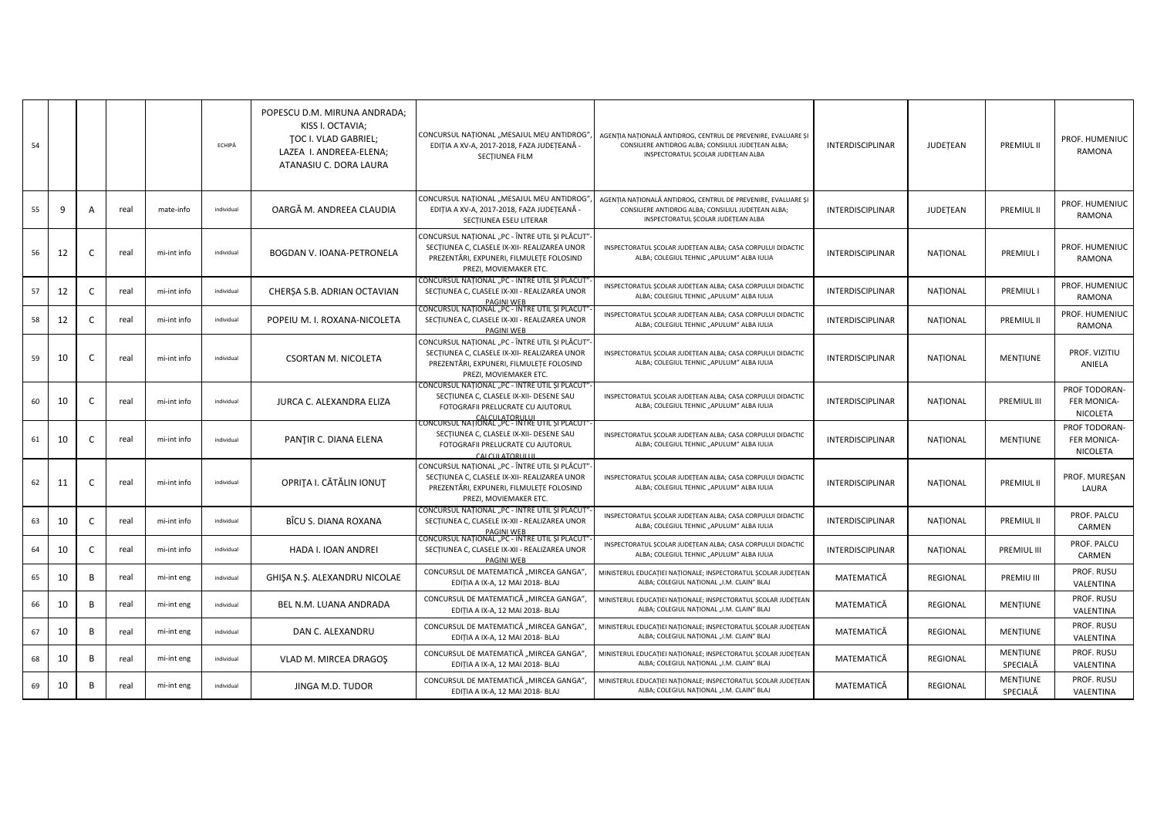| 54 |    |   |      |             | ECHIPĂ     | POPESCU D.M. MIRUNA ANDRADA;<br>KISS I. OCTAVIA;<br>TOC I. VLAD GABRIEL;<br>LAZEA I. ANDREEA-ELENA:<br>ATANASIU C. DORA LAURA | CONCURSUL NATIONAL "MESAJUL MEU ANTIDROG"<br>EDIȚIA A XV-A, 2017-2018, FAZA JUDEȚEANĂ -<br>SECTIUNEA FILM                                                            | AGENTIA NATIONALĂ ANTIDROG, CENTRUL DE PREVENIRE, EVALUARE ȘI<br>CONSILIERE ANTIDROG ALBA; CONSILIUL JUDEȚEAN ALBA;<br>INSPECTORATUL SCOLAR JUDETEAN ALBA | INTERDISCIPLINAR        | JUDETEAN        | PREMIUL II                  | PROF. HUMENIUC<br><b>RAMONA</b>          |
|----|----|---|------|-------------|------------|-------------------------------------------------------------------------------------------------------------------------------|----------------------------------------------------------------------------------------------------------------------------------------------------------------------|-----------------------------------------------------------------------------------------------------------------------------------------------------------|-------------------------|-----------------|-----------------------------|------------------------------------------|
| 55 | 9  | A | real | mate-info   | individual | OARGĂ M. ANDREEA CLAUDIA                                                                                                      | CONCURSUL NATIONAL "MESAJUL MEU ANTIDROG"<br>EDIȚIA A XV-A, 2017-2018, FAZA JUDEȚEANĂ -<br>SECTIUNEA ESEU LITERAR                                                    | AGENȚIA NAȚIONALĂ ANTIDROG, CENTRUL DE PREVENIRE, EVALUARE ȘI<br>CONSILIERE ANTIDROG ALBA; CONSILIUL JUDEȚEAN ALBA;<br>INSPECTORATUL ȘCOLAR JUDEȚEAN ALBA | <b>INTERDISCIPLINAR</b> | JUDETEAN        | <b>PREMIUL II</b>           | PROF. HUMENIUC<br><b>RAMONA</b>          |
| 56 | 12 | C | real | mi-int info | individual | BOGDAN V. IOANA-PETRONELA                                                                                                     | CONCURSUL NAȚIONAL "PC - ÎNTRE UTIL ȘI PLĂCUT"<br>SECTIUNEA C, CLASELE IX-XII- REALIZAREA UNOR<br>PREZENTĂRI, EXPUNERI, FILMULEȚE FOLOSIND<br>PREZI, MOVIEMAKER ETC. | INSPECTORATUL SCOLAR JUDETEAN ALBA; CASA CORPULUI DIDACTIC<br>ALBA; COLEGIUL TEHNIC "APULUM" ALBA IULIA                                                   | INTERDISCIPLINAR        | <b>NATIONAL</b> | PREMIUL I                   | PROF. HUMENIUC<br>RAMONA                 |
| 57 | 12 | C | real | mi-int info | individual | CHERȘA S.B. ADRIAN OCTAVIAN                                                                                                   | CONCURSUL NAȚIONAL "PC - ÎNTRE UTIL ȘI PLĂCUT<br>SECTIUNEA C, CLASELE IX-XII - REALIZAREA UNOR<br><b>PAGINI WEB</b>                                                  | INSPECTORATUL SCOLAR JUDEȚEAN ALBA; CASA CORPULUI DIDACTIC<br>ALBA; COLEGIUL TEHNIC "APULUM" ALBA IULIA                                                   | INTERDISCIPLINAR        | NATIONAL        | PREMIUL I                   | PROF. HUMENIUC<br><b>RAMONA</b>          |
| 58 | 12 | C | real | mi-int info | individual | POPEIU M. I. ROXANA-NICOLETA                                                                                                  | CONCURSUL NAȚIONAL "PC - ÎNTRE UTIL ȘI PLĂCUT<br>SECTIUNEA C, CLASELE IX-XII - REALIZAREA UNOR<br>PAGINI WEB                                                         | INSPECTORATUL SCOLAR JUDEȚEAN ALBA; CASA CORPULUI DIDACTIC<br>ALBA; COLEGIUL TEHNIC "APULUM" ALBA IULIA                                                   | INTERDISCIPLINAR        | <b>NATIONAL</b> | <b>PREMIUL II</b>           | PROF. HUMENIUC<br>RAMONA                 |
| 59 | 10 | C | real | mi-int info | individual | CSORTAN M. NICOLETA                                                                                                           | CONCURSUL NAȚIONAL "PC - ÎNTRE UTIL ȘI PLĂCUT"<br>SECTIUNEA C, CLASELE IX-XII- REALIZAREA UNOR<br>PREZENTĂRI, EXPUNERI, FILMULETE FOLOSIND<br>PREZI, MOVIEMAKER ETC. | INSPECTORATUL ȘCOLAR JUDEȚEAN ALBA; CASA CORPULUI DIDACTIC<br>ALBA; COLEGIUL TEHNIC "APULUM" ALBA IULIA                                                   | <b>INTERDISCIPLINAR</b> | NAȚIONAL        | <b>MENTIUNE</b>             | PROF. VIZITIU<br>ANIELA                  |
| 60 | 10 | C | real | mi-int info | individual | JURCA C. ALEXANDRA ELIZA                                                                                                      | CONCURSUL NAȚIONAL "PC - INTRE UTIL ȘI PLACUT<br>SECTIUNEA C, CLASELE IX-XII- DESENE SAU<br>FOTOGRAFII PRELUCRATE CU AJUTORUL<br><b>ALCULATORULU</b>                 | INSPECTORATUL SCOLAR JUDETEAN ALBA; CASA CORPULUI DIDACTIC<br>ALBA; COLEGIUL TEHNIC "APULUM" ALBA IULIA                                                   | <b>INTERDISCIPLINAR</b> | NATIONAL        | PREMIUL III                 | PROF TODORAN-<br>FER MONICA-<br>NICOLETA |
| 61 | 10 | C | real | mi-int info | individual | PANTIR C. DIANA ELENA                                                                                                         | CONCURSUL NAȚIONAL "PC - ÎNTRE UTIL ȘI PLACUT<br>SECTIUNEA C, CLASELE IX-XII- DESENE SAU<br>FOTOGRAFII PRELUCRATE CU AJUTORUL<br><b>CALCULATORULUI</b>               | INSPECTORATUL SCOLAR JUDETEAN ALBA; CASA CORPULUI DIDACTIC<br>ALBA; COLEGIUL TEHNIC "APULUM" ALBA IULIA                                                   | <b>INTERDISCIPLINAR</b> | NATIONAL        | <b>MENTIUNE</b>             | PROF TODORAN-<br>FER MONICA-<br>NICOLETA |
| 62 | 11 | C | real | mi-int info | individual | OPRITA I. CĂTĂLIN IONUT                                                                                                       | CONCURSUL NAȚIONAL "PC - ÎNTRE UTIL ȘI PLĂCUT"<br>SECTIUNEA C, CLASELE IX-XII- REALIZAREA UNOR<br>PREZENTĂRI, EXPUNERI, FILMULEȚE FOLOSIND<br>PREZI, MOVIEMAKER ETC. | INSPECTORATUL SCOLAR JUDEȚEAN ALBA; CASA CORPULUI DIDACTIC<br>ALBA; COLEGIUL TEHNIC "APULUM" ALBA IULIA                                                   | <b>INTERDISCIPLINAR</b> | NATIONAL        | <b>PREMIUL II</b>           | PROF. MURESAN<br>LAURA                   |
| 63 | 10 | C | real | mi-int info | individual | BICU S. DIANA ROXANA                                                                                                          | CONCURSUL NATIONAL "PC - INTRE UTIL ȘI PLACUT<br>SECTIUNEA C, CLASELE IX-XII - REALIZAREA UNOR<br><b>PAGINI WEB</b>                                                  | INSPECTORATUL SCOLAR JUDEȚEAN ALBA; CASA CORPULUI DIDACTIC<br>ALBA; COLEGIUL TEHNIC "APULUM" ALBA IULIA                                                   | <b>INTERDISCIPLINAR</b> | NATIONAL        | <b>PREMIUL II</b>           | PROF. PALCU<br>CARMEN                    |
| 64 | 10 | C | real | mi-int info | individual | HADA I. IOAN ANDREI                                                                                                           | CONCURSUL NAȚIONAL "PC - ÎNTRE UTIL ȘI PLACUT<br>SECTIUNEA C, CLASELE IX-XII - REALIZAREA UNOR<br><b>PAGINI WEB</b>                                                  | INSPECTORATUL SCOLAR JUDEȚEAN ALBA; CASA CORPULUI DIDACTIC<br>ALBA; COLEGIUL TEHNIC "APULUM" ALBA IULIA                                                   | <b>INTERDISCIPLINAR</b> | NATIONAL        | PREMIUL III                 | PROF. PALCU<br>CARMEN                    |
| 65 | 10 | B | real | mi-int eng  | individual | GHIŞA N.Ş. ALEXANDRU NICOLAE                                                                                                  | CONCURSUL DE MATEMATICĂ "MIRCEA GANGA",<br>EDIȚIA A IX-A, 12 MAI 2018- BLAJ                                                                                          | MINISTERUL EDUCAȚIEI NAȚIONALE; INSPECTORATUL ȘCOLAR JUDEȚEAN<br>ALBA; COLEGIUL NAȚIONAL "I.M. CLAIN" BLAJ                                                | MATEMATICĂ              | REGIONAL        | PREMIU III                  | PROF. RUSU<br>VALENTINA                  |
| 66 | 10 | B | real | mi-int eng  | individual | BEL N.M. LUANA ANDRADA                                                                                                        | CONCURSUL DE MATEMATICĂ "MIRCEA GANGA"<br>EDIȚIA A IX-A, 12 MAI 2018- BLAJ                                                                                           | MINISTERUL EDUCAȚIEI NAȚIONALE; INSPECTORATUL ȘCOLAR JUDEȚEAN<br>ALBA; COLEGIUL NAȚIONAL "I.M. CLAIN" BLAJ                                                | MATEMATICĂ              | REGIONAL        | MENTIUNE                    | PROF. RUSU<br>VALENTINA                  |
| 67 | 10 | B | real | mi-int eng  | individual | DAN C. ALEXANDRU                                                                                                              | CONCURSUL DE MATEMATICĂ "MIRCEA GANGA",<br>EDIȚIA A IX-A, 12 MAI 2018- BLAJ                                                                                          | MINISTERUL EDUCAȚIEI NAȚIONALE; INSPECTORATUL ȘCOLAR JUDEȚEAN<br>ALBA; COLEGIUL NAȚIONAL "I.M. CLAIN" BLAJ                                                | MATEMATICĂ              | REGIONAL        | MENȚIUNE                    | PROF. RUSU<br>VALENTINA                  |
| 68 | 10 | B | real | mi-int eng  | individual | VLAD M. MIRCEA DRAGOS                                                                                                         | CONCURSUL DE MATEMATICĂ "MIRCEA GANGA",<br>EDIȚIA A IX-A, 12 MAI 2018- BLAJ                                                                                          | MINISTERUL EDUCAȚIEI NAȚIONALE; INSPECTORATUL ȘCOLAR JUDEȚEAN<br>ALBA; COLEGIUL NAȚIONAL "I.M. CLAIN" BLAJ                                                | MATEMATICĂ              | REGIONAL        | MENȚIUNE<br>SPECIALĂ        | PROF. RUSU<br>VALENTINA                  |
| 69 | 10 | B | real | mi-int eng  | individual | JINGA M.D. TUDOR                                                                                                              | CONCURSUL DE MATEMATICĂ "MIRCEA GANGA"<br>EDIȚIA A IX-A, 12 MAI 2018- BLAJ                                                                                           | MINISTERUL EDUCAȚIEI NAȚIONALE; INSPECTORATUL ȘCOLAR JUDEȚEAN<br>ALBA; COLEGIUL NAȚIONAL "I.M. CLAIN" BLAJ                                                | MATEMATICĂ              | REGIONAL        | <b>MENTIUNE</b><br>SPECIALĂ | PROF. RUSU<br>VALENTINA                  |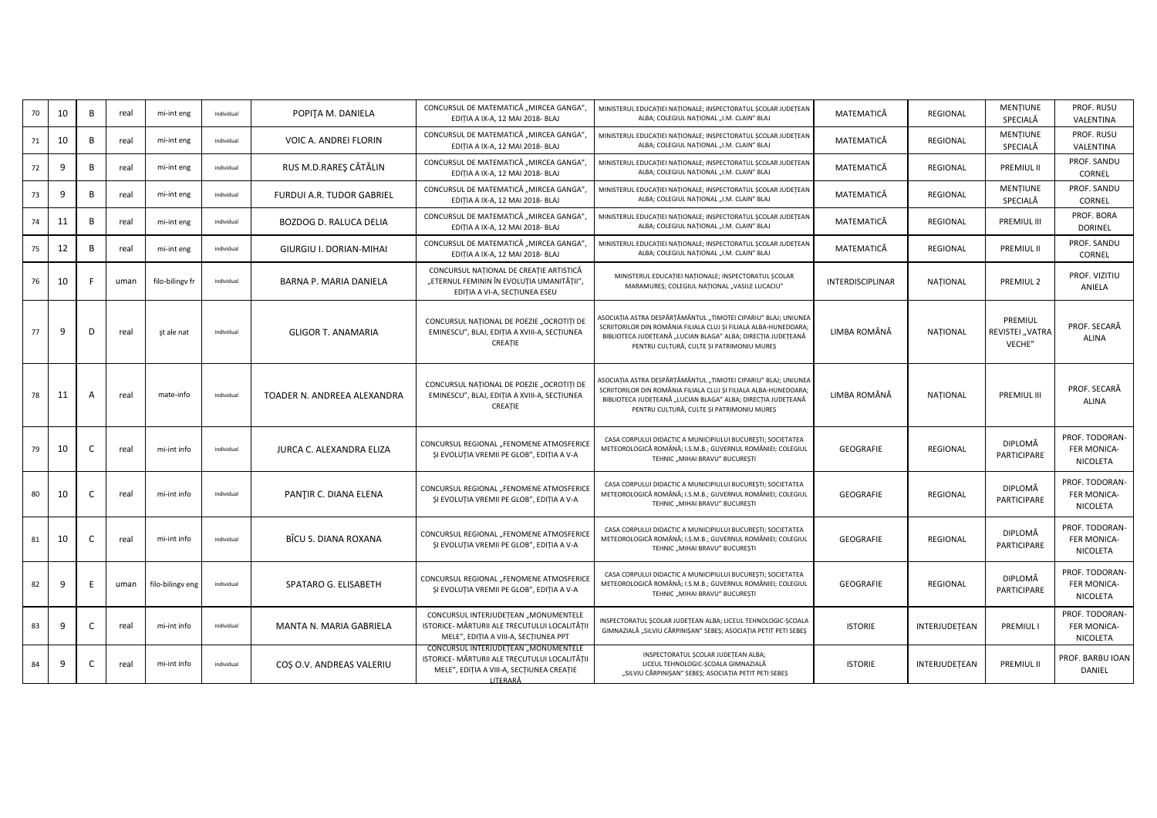| 10 | B        | real | mi-int eng       | individual | POPITA M. DANIELA                | CONCURSUL DE MATEMATICĂ "MIRCEA GANGA"<br>EDITIA A IX-A, 12 MAI 2018- BLAJ                                                                     | MINISTERUL EDUCAȚIEI NAȚIONALE; INSPECTORATUL ȘCOLAR JUDEȚEAN<br>ALBA; COLEGIUL NAȚIONAL "I.M. CLAIN" BLAJ                                                                                                                                      | MATEMATICĂ       | REGIONAL        | <b>MENTIUNE</b><br>SPECIALĂ          | PROF. RUSU<br>VALENTINA                          |
|----|----------|------|------------------|------------|----------------------------------|------------------------------------------------------------------------------------------------------------------------------------------------|-------------------------------------------------------------------------------------------------------------------------------------------------------------------------------------------------------------------------------------------------|------------------|-----------------|--------------------------------------|--------------------------------------------------|
| 10 | B        | real | mi-int eng       | individual | VOIC A. ANDREI FLORIN            | CONCURSUL DE MATEMATICĂ "MIRCEA GANGA",<br>EDITIA A IX-A, 12 MAI 2018- BLAJ                                                                    | MINISTERUL EDUCAȚIEI NAȚIONALE; INSPECTORATUL ȘCOLAR JUDEȚEAN<br>ALBA; COLEGIUL NAȚIONAL "I.M. CLAIN" BLAJ                                                                                                                                      | MATEMATICĂ       | REGIONAL        | <b>MENTIUNE</b><br>SPECIALĂ          | PROF. RUSU<br>VALENTINA                          |
| -9 | <b>B</b> | real | mi-int eng       | individual | RUS M.D.RARES CĂTĂLIN            | CONCURSUL DE MATEMATICĂ "MIRCEA GANGA",<br>EDIȚIA A IX-A, 12 MAI 2018- BLAJ                                                                    | MINISTERUL EDUCAȚIEI NAȚIONALE; INSPECTORATUL ȘCOLAR JUDEȚEAN<br>ALBA; COLEGIUL NAȚIONAL "I.M. CLAIN" BLAJ                                                                                                                                      | MATEMATICĂ       | <b>REGIONAL</b> | <b>PREMIUL II</b>                    | PROF. SANDU<br>CORNEL                            |
| -9 | B        | real | mi-int eng       | individual | <b>FURDUI A.R. TUDOR GABRIEL</b> | CONCURSUL DE MATEMATICĂ "MIRCEA GANGA"<br>EDIȚIA A IX-A, 12 MAI 2018- BLAJ                                                                     | MINISTERUL EDUCAȚIEI NAȚIONALE; INSPECTORATUL ȘCOLAR JUDEȚEAN<br>ALBA; COLEGIUL NAȚIONAL "I.M. CLAIN" BLAJ                                                                                                                                      | MATEMATICĂ       | REGIONAL        | <b>MENTIUNE</b><br>SPECIALĂ          | PROF. SANDU<br>CORNEL                            |
| 11 | <b>B</b> | real | mi-int eng       | individual | BOZDOG D. RALUCA DELIA           | CONCURSUL DE MATEMATICĂ "MIRCEA GANGA"<br>EDITIA A IX-A, 12 MAI 2018- BLAJ                                                                     | MINISTERUL EDUCATIEI NATIONALE; INSPECTORATUL SCOLAR JUDETEAN<br>ALBA; COLEGIUL NAȚIONAL "I.M. CLAIN" BLAJ                                                                                                                                      | MATEMATICĂ       | REGIONAL        | PREMIUL III                          | PROF. BORA<br><b>DORINEL</b>                     |
| 12 | <b>B</b> | real | mi-int eng       | individual | GIURGIU I. DORIAN-MIHAI          | CONCURSUL DE MATEMATICĂ "MIRCEA GANGA"<br>EDITIA A IX-A, 12 MAI 2018- BLAJ                                                                     | MINISTERUL EDUCAȚIEI NAȚIONALE; INSPECTORATUL ȘCOLAR JUDEȚEAN<br>ALBA; COLEGIUL NAȚIONAL "I.M. CLAIN" BLAJ                                                                                                                                      | MATEMATICĂ       | REGIONAL        | <b>PREMIUL II</b>                    | PROF. SANDU<br>CORNEL                            |
| 10 |          | uman | filo-bilingv fr  | individual | BARNA P. MARIA DANIELA           | CONCURSUL NAȚIONAL DE CREAȚIE ARTISTICĂ<br>"ETERNUL FEMININ ÎN EVOLUȚIA UMANITĂȚII",<br>EDIȚIA A VI-A, SECȚIUNEA ESEU                          | MINISTERUL EDUCAȚIEI NAȚIONALE; INSPECTORATUL ȘCOLAR<br>MARAMURES; COLEGIUL NAȚIONAL "VASILE LUCACIU"                                                                                                                                           | INTERDISCIPLINAR | NATIONAL        | PREMIUL <sub>2</sub>                 | PROF. VIZITIU<br>ANIELA                          |
| 9  | D        | real | șt ale nat       | individual | <b>GLIGOR T. ANAMARIA</b>        | CONCURSUL NATIONAL DE POEZIE "OCROTIȚI DE<br>EMINESCU", BLAJ, EDIȚIA A XVIII-A, SECȚIUNEA<br>CREATIE                                           | ASOCIAȚIA ASTRA DESPĂRȚĂMÂNTUL "TIMOTEI CIPARIU" BLAJ; UNIUNEA<br>SCRIITORILOR DIN ROMÂNIA FILIALA CLUJ ȘI FILIALA ALBA-HUNEDOARA;<br>BIBLIOTECA JUDEȚEANĂ "LUCIAN BLAGA" ALBA; DIRECȚIA JUDEȚEANĂ<br>PENTRU CULTURĂ, CULTE ȘI PATRIMONIU MUREȘ | LIMBA ROMÂNĂ     | NATIONAL        | PREMIUL<br>REVISTEI "VATRA<br>VECHE" | PROF. SECARĂ<br>ALINA                            |
| 11 |          | real | mate-info        | individual | TOADER N. ANDREEA ALEXANDRA      | CONCURSUL NATIONAL DE POEZIE "OCROTITI DE<br>EMINESCU", BLAJ, EDIȚIA A XVIII-A, SECȚIUNEA<br>CREATIE                                           | ASOCIAȚIA ASTRA DESPĂRȚĂMÂNTUL "TIMOTEI CIPARIU" BLAJ; UNIUNEA<br>SCRIITORILOR DIN ROMÂNIA FILIALA CLUJ ȘI FILIALA ALBA-HUNEDOARA;<br>BIBLIOTECA JUDEȚEANĂ "LUCIAN BLAGA" ALBA; DIRECȚIA JUDEȚEANĂ<br>PENTRU CULTURĂ, CULTE ȘI PATRIMONIU MUREȘ | LIMBA ROMÂNĂ     | NATIONAL        | <b>PREMIUL III</b>                   | PROF. SECARA<br><b>ALINA</b>                     |
| 10 | C.       | real | mi-int info      | individual | JURCA C. ALEXANDRA ELIZA         | CONCURSUL REGIONAL "FENOMENE ATMOSFERICE<br>ȘI EVOLUȚIA VREMII PE GLOB", EDIȚIA A V-A                                                          | CASA CORPULUI DIDACTIC A MUNICIPIULUI BUCUREȘTI; SOCIETATEA<br>METEOROLOGICĂ ROMÂNĂ; I.S.M.B.; GUVERNUL ROMÂNIEI; COLEGIUL<br>TEHNIC "MIHAI BRAVU" BUCUREȘTI                                                                                    | GEOGRAFIE        | REGIONAL        | DIPLOMĂ<br>PARTICIPARE               | PROF. TODORAN-<br>FER MONICA-<br>NICOLETA        |
| 10 |          | real | mi-int info      | individual | PANTIR C. DIANA ELENA            | CONCURSUL REGIONAL "FENOMENE ATMOSFERICE<br>ȘI EVOLUȚIA VREMII PE GLOB", EDIȚIA A V-A                                                          | CASA CORPULUI DIDACTIC A MUNICIPIULUI BUCURESTI; SOCIETATEA<br>METEOROLOGICĂ ROMÂNĂ; I.S.M.B.; GUVERNUL ROMÂNIEI; COLEGIUL<br>TEHNIC "MIHAI BRAVU" BUCURESTI                                                                                    | GEOGRAFIE        | REGIONAL        | DIPLOMĂ<br>PARTICIPARE               | PROF. TODORAN-<br><b>FER MONICA-</b><br>NICOLETA |
| 10 |          | real | mi-int info      | individual | BÎCU S. DIANA ROXANA             | CONCURSUL REGIONAL "FENOMENE ATMOSFERICE<br>ȘI EVOLUȚIA VREMII PE GLOB", EDIȚIA A V-A                                                          | CASA CORPULUI DIDACTIC A MUNICIPIULUI BUCUREȘTI; SOCIETATEA<br>METEOROLOGICĂ ROMÂNĂ; I.S.M.B.; GUVERNUL ROMÂNIEI; COLEGIUL<br>TEHNIC "MIHAI BRAVU" BUCUREȘTI                                                                                    | GEOGRAFIE        | REGIONAL        | DIPLOMĂ<br>PARTICIPARE               | PROF. TODORAN-<br>FER MONICA-<br>NICOLETA        |
| -9 | F        | uman | filo-bilingv eng | individual | SPATARO G. ELISABETH             | CONCURSUL REGIONAL "FENOMENE ATMOSFERICE<br>ȘI EVOLUȚIA VREMII PE GLOB", EDIȚIA A V-A                                                          | CASA CORPULUI DIDACTIC A MUNICIPIULUI BUCURESTI; SOCIETATEA<br>METEOROLOGICĂ ROMÂNĂ; I.S.M.B.; GUVERNUL ROMÂNIEI; COLEGIUL<br>TEHNIC "MIHAI BRAVU" BUCURESTI                                                                                    | GEOGRAFIE        | REGIONAL        | DIPLOMĂ<br>PARTICIPARE               | PROF. TODORAN-<br>FER MONICA-<br>NICOLETA        |
| -9 |          | real | mi-int info      | individual | MANTA N. MARIA GABRIELA          | CONCURSUL INTERJUDETEAN "MONUMENTELE<br>ISTORICE- MĂRTURII ALE TRECUTULUI LOCALITĂȚII<br>MELE", EDIȚIA A VIII-A, SECȚIUNEA PPT                 | INSPECTORATUL SCOLAR JUDEȚEAN ALBA; LICEUL TEHNOLOGIC-SCOALA<br>GIMNAZIALĂ "SILVIU CĂRPINIȘAN" SEBEȘ; ASOCIAȚIA PETIT PETI SEBEȘ                                                                                                                | <b>ISTORIE</b>   | INTERJUDETEAN   | <b>PREMIULI</b>                      | PROF. TODORAN-<br>FER MONICA-<br>NICOLETA        |
| 9  |          | real | mi-int info      | individual | COS O.V. ANDREAS VALERIU         | CONCURSUL INTERJUDETEAN "MONUMENTELE<br>ISTORICE- MĂRTURII ALE TRECUTULUI LOCALITĂȚII<br>MELE", EDIȚIA A VIII-A, SECȚIUNEA CREAȚIE<br>LITERARĂ | INSPECTORATUL SCOLAR JUDETEAN ALBA;<br>LICEUL TEHNOLOGIC-SCOALA GIMNAZIALĂ<br>"SILVIU CĂRPINISAN" SEBES; ASOCIATIA PETIT PETI SEBES                                                                                                             | <b>ISTORIE</b>   | INTERJUDEȚEAN   | PREMIUL II                           | PROF. BARBU IOAN<br>DANIEL                       |
|    |          |      |                  |            |                                  |                                                                                                                                                |                                                                                                                                                                                                                                                 |                  |                 |                                      |                                                  |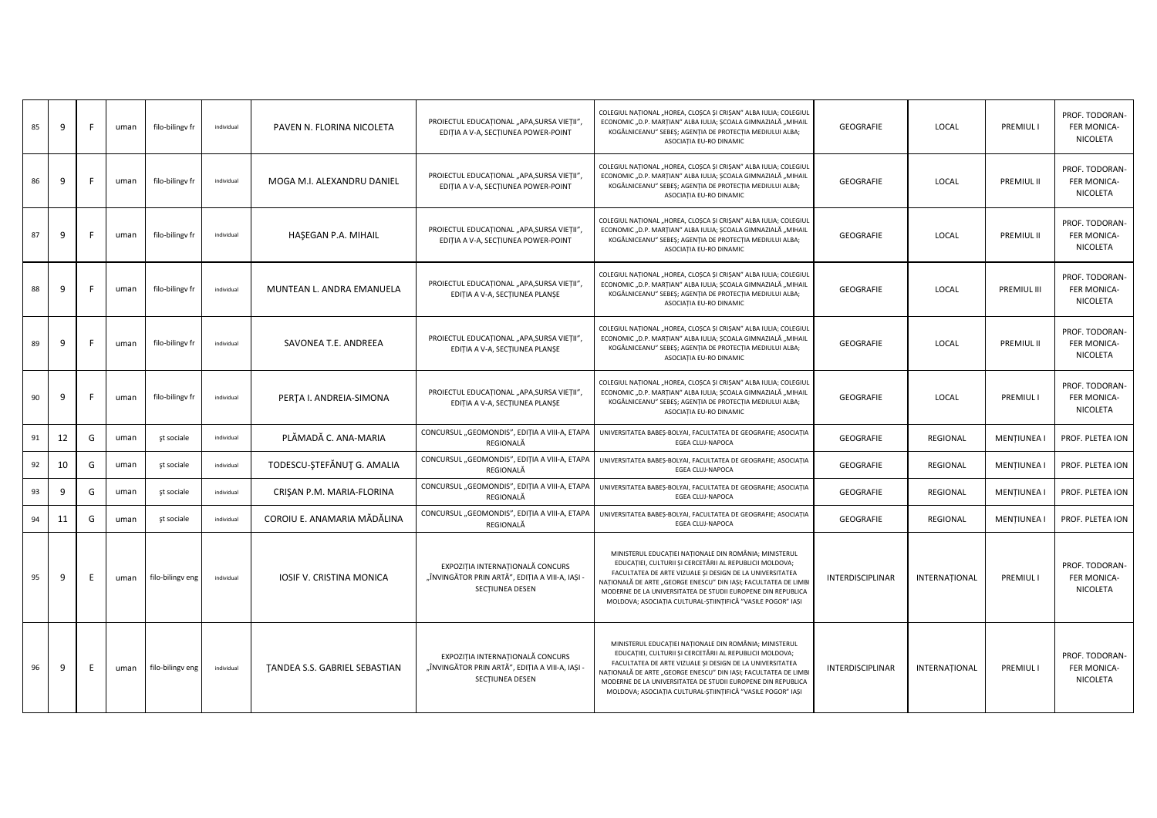| 85 | 9  | F. | uman | filo-bilingv fr  | individual | PAVEN N. FLORINA NICOLETA     | PROIECTUL EDUCAȚIONAL "APA, SURSA VIEȚII",<br>EDITIA A V-A, SECTIUNEA POWER-POINT                      | COLEGIUL NAȚIONAL "HOREA, CLOȘCA ȘI CRIȘAN" ALBA IULIA; COLEGIUL<br>ECONOMIC "D.P. MARȚIAN" ALBA IULIA; ȘCOALA GIMNAZIALĂ "MIHAIL<br>KOGĂLNICEANU" SEBES; AGENTIA DE PROTECTIA MEDIULUI ALBA;<br>ASOCIAȚIA EU-RO DINAMIC                                                                                                                                                        | GEOGRAFIE        | LOCAL         | <b>PREMIULI</b>    | PROF. TODORAN-<br>FER MONICA-<br>NICOLETA        |
|----|----|----|------|------------------|------------|-------------------------------|--------------------------------------------------------------------------------------------------------|---------------------------------------------------------------------------------------------------------------------------------------------------------------------------------------------------------------------------------------------------------------------------------------------------------------------------------------------------------------------------------|------------------|---------------|--------------------|--------------------------------------------------|
| 86 | 9  | F  | uman | filo-bilingv fr  | individual | MOGA M.I. ALEXANDRU DANIEL    | PROIECTUL EDUCAȚIONAL "APA, SURSA VIEȚII",<br>EDIȚIA A V-A, SECȚIUNEA POWER-POINT                      | COLEGIUL NAȚIONAL "HOREA, CLOȘCA ȘI CRIȘAN" ALBA IULIA; COLEGIUI<br>ECONOMIC "D.P. MARȚIAN" ALBA IULIA; ȘCOALA GIMNAZIALĂ "MIHAIL<br>KOGĂLNICEANU" SEBEȘ; AGENȚIA DE PROTECȚIA MEDIULUI ALBA;<br>ASOCIAȚIA EU-RO DINAMIC                                                                                                                                                        | GEOGRAFIE        | LOCAL         | PREMIUL II         | PROF. TODORAN-<br>FER MONICA-<br>NICOLETA        |
| 87 | 9  | F  | uman | filo-bilingv fr  | individual | HAŞEGAN P.A. MIHAIL           | PROIECTUL EDUCAȚIONAL "APA, SURSA VIEȚII",<br>EDIȚIA A V-A, SECȚIUNEA POWER-POINT                      | COLEGIUL NAȚIONAL "HOREA, CLOȘCA ȘI CRIȘAN" ALBA IULIA; COLEGIUI<br>ECONOMIC "D.P. MARȚIAN" ALBA IULIA; ȘCOALA GIMNAZIALĂ "MIHAIL<br>KOGĂLNICEANU" SEBEȘ; AGENȚIA DE PROTECȚIA MEDIULUI ALBA;<br>ASOCIAȚIA EU-RO DINAMIC                                                                                                                                                        | GEOGRAFIE        | LOCAL         | PREMIUL II         | PROF. TODORAN-<br>FER MONICA-<br>NICOLETA        |
| 88 | 9  | F  | uman | filo-bilingv fr  | individual | MUNTEAN L. ANDRA EMANUELA     | PROIECTUL EDUCAȚIONAL "APA, SURSA VIEȚII",<br>EDIȚIA A V-A, SECȚIUNEA PLANȘE                           | COLEGIUL NAȚIONAL "HOREA, CLOȘCA ȘI CRIȘAN" ALBA IULIA; COLEGIUL<br>ECONOMIC "D.P. MARȚIAN" ALBA IULIA; ȘCOALA GIMNAZIALĂ "MIHAIL<br>KOGĂLNICEANU" SEBEȘ; AGENȚIA DE PROTECȚIA MEDIULUI ALBA;<br>ASOCIAȚIA EU-RO DINAMIC                                                                                                                                                        | GEOGRAFIE        | LOCAL         | <b>PREMIUL III</b> | PROF. TODORAN-<br>FER MONICA-<br>NICOLETA        |
| 89 | 9  | F. | uman | filo-bilingv fr  | individual | SAVONEA T.E. ANDREEA          | PROIECTUL EDUCAȚIONAL "APA, SURSA VIEȚII",<br>EDIȚIA A V-A, SECȚIUNEA PLANȘE                           | COLEGIUL NAȚIONAL "HOREA, CLOȘCA ȘI CRIȘAN" ALBA IULIA; COLEGIUI<br>ECONOMIC "D.P. MARȚIAN" ALBA IULIA; ȘCOALA GIMNAZIALĂ "MIHAIL<br>KOGĂLNICEANU" SEBEȘ; AGENȚIA DE PROTECȚIA MEDIULUI ALBA;<br>ASOCIAȚIA EU-RO DINAMIC                                                                                                                                                        | GEOGRAFIE        | LOCAL         | PREMIUL II         | PROF. TODORAN-<br>FER MONICA-<br>NICOLETA        |
| 90 | 9  | F  | uman | filo-bilingv fr  | individual | PERTA I. ANDREIA-SIMONA       | PROIECTUL EDUCAȚIONAL "APA, SURSA VIEȚII",<br>EDIȚIA A V-A, SECȚIUNEA PLANȘE                           | COLEGIUL NAȚIONAL "HOREA, CLOȘCA ȘI CRIȘAN" ALBA IULIA; COLEGIUI<br>ECONOMIC "D.P. MARȚIAN" ALBA IULIA; ȘCOALA GIMNAZIALĂ "MIHAIL<br>KOGĂLNICEANU" SEBEȘ; AGENȚIA DE PROTECȚIA MEDIULUI ALBA;<br>ASOCIAȚIA EU-RO DINAMIC                                                                                                                                                        | GEOGRAFIE        | LOCAL         | <b>PREMIUL I</b>   | PROF. TODORAN-<br>FER MONICA-<br>NICOLETA        |
| 91 | 12 | G  | uman | șt sociale       | individual | PLĂMADĂ C. ANA-MARIA          | CONCURSUL "GEOMONDIS", EDIȚIA A VIII-A, ETAPA<br>REGIONALĂ                                             | UNIVERSITATEA BABEȘ-BOLYAI, FACULTATEA DE GEOGRAFIE; ASOCIAȚIA<br>EGEA CLUJ-NAPOCA                                                                                                                                                                                                                                                                                              | GEOGRAFIE        | REGIONAL      | MENȚIUNEA I        | PROF. PLETEA ION                                 |
| 92 | 10 | G  | uman | șt sociale       | individual | TODESCU-ȘTEFĂNUȚ G. AMALIA    | CONCURSUL "GEOMONDIS", EDIȚIA A VIII-A, ETAPA<br>REGIONALĂ                                             | UNIVERSITATEA BABEȘ-BOLYAI, FACULTATEA DE GEOGRAFIE; ASOCIAȚIA<br><b>EGEA CLUJ-NAPOCA</b>                                                                                                                                                                                                                                                                                       | GEOGRAFIE        | REGIONAL      | MENȚIUNEA I        | PROF. PLETEA ION                                 |
| 93 | 9  | G  | uman | șt sociale       | individual | CRIŞAN P.M. MARIA-FLORINA     | CONCURSUL "GEOMONDIS", EDIȚIA A VIII-A, ETAPA<br>REGIONALĂ                                             | UNIVERSITATEA BABEȘ-BOLYAI, FACULTATEA DE GEOGRAFIE; ASOCIAȚIA<br>EGEA CLUJ-NAPOCA                                                                                                                                                                                                                                                                                              | GEOGRAFIE        | REGIONAL      | <b>MENTIUNEA I</b> | PROF. PLETEA ION                                 |
| 94 | 11 | G  | uman | șt sociale       | individual | COROIU E. ANAMARIA MĂDĂLINA   | CONCURSUL "GEOMONDIS", EDIȚIA A VIII-A, ETAPA<br>REGIONALĂ                                             | UNIVERSITATEA BABEȘ-BOLYAI, FACULTATEA DE GEOGRAFIE; ASOCIAȚIA<br>EGEA CLUJ-NAPOCA                                                                                                                                                                                                                                                                                              | GEOGRAFIE        | REGIONAL      | MENȚIUNEA I        | PROF. PLETEA ION                                 |
| 95 | 9  | E  | uman | filo-bilingv eng | individual | IOSIF V. CRISTINA MONICA      | EXPOZIȚIA INTERNAȚIONALĂ CONCURS<br>"ÎNVINGĂTOR PRIN ARTĂ", EDIȚIA A VIII-A, IAȘI -<br>SECTIUNEA DESEN | MINISTERUL EDUCAȚIEI NAȚIONALE DIN ROMÂNIA; MINISTERUL<br>EDUCAȚIEI, CULTURII ȘI CERCETĂRII AL REPUBLICII MOLDOVA;<br>FACULTATEA DE ARTE VIZUALE ȘI DESIGN DE LA UNIVERSITATEA<br>NAȚIONALĂ DE ARTE "GEORGE ENESCU" DIN IAȘI; FACULTATEA DE LIMB<br>MODERNE DE LA UNIVERSITATEA DE STUDII EUROPENE DIN REPUBLICA<br>MOLDOVA; ASOCIAȚIA CULTURAL-ȘTIINȚIFICĂ "VASILE POGOR" IAȘI | INTERDISCIPLINAR | INTERNAȚIONAL | <b>PREMIULI</b>    | PROF. TODORAN-<br>FER MONICA-<br>NICOLETA        |
| 96 | 9  | E  | uman | filo-bilingv eng | individual | TANDEA S.S. GABRIEL SEBASTIAN | EXPOZIȚIA INTERNAȚIONALĂ CONCURS<br>"ÎNVINGĂTOR PRIN ARTĂ", EDIȚIA A VIII-A, IAȘI -<br>SECTIUNEA DESEN | MINISTERUL EDUCAȚIEI NAȚIONALE DIN ROMÂNIA; MINISTERUL<br>EDUCAȚIEI, CULTURII ȘI CERCETĂRII AL REPUBLICII MOLDOVA;<br>FACULTATEA DE ARTE VIZUALE ȘI DESIGN DE LA UNIVERSITATEA<br>NATIONALĂ DE ARTE "GEORGE ENESCU" DIN IAȘI; FACULTATEA DE LIMB<br>MODERNE DE LA UNIVERSITATEA DE STUDII EUROPENE DIN REPUBLICA<br>MOLDOVA; ASOCIAȚIA CULTURAL-ȘTIINȚIFICĂ "VASILE POGOR" IAȘI | INTERDISCIPLINAR | INTERNAȚIONAL | <b>PREMIULI</b>    | PROF. TODORAN-<br><b>FER MONICA-</b><br>NICOLETA |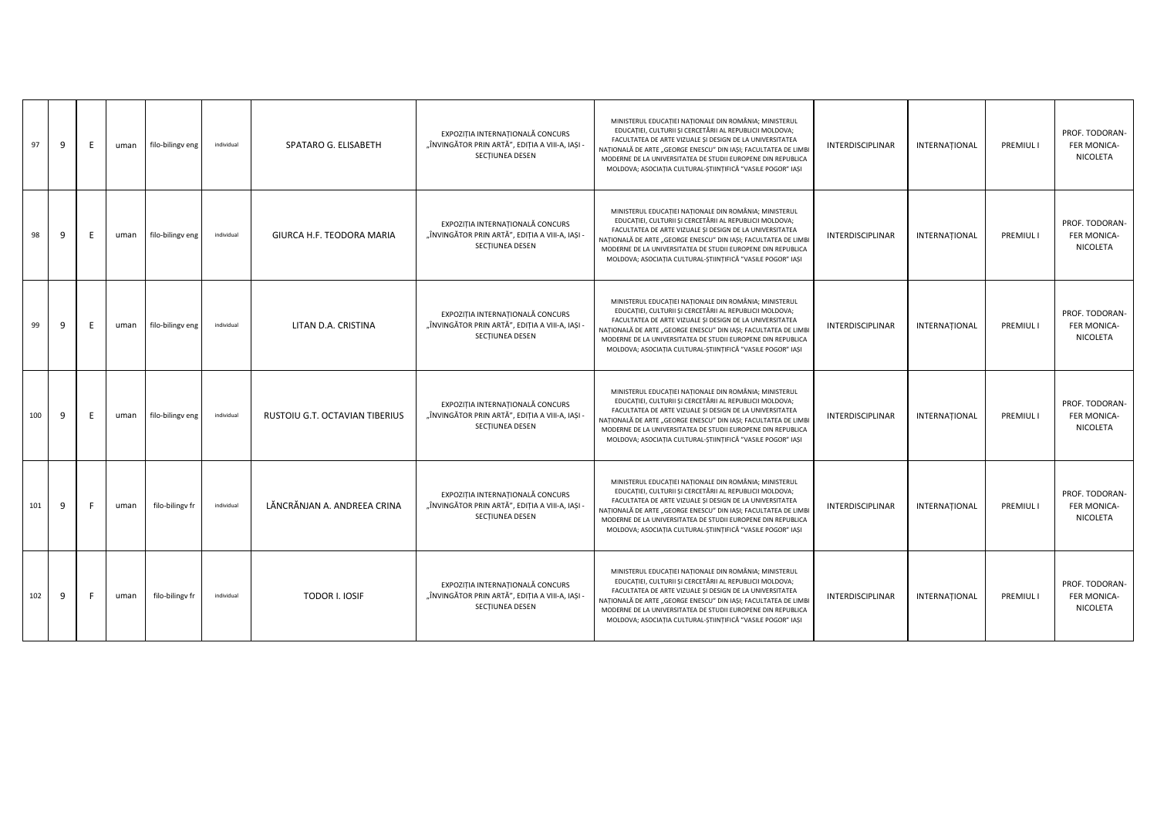| 97  | -9 | E | uman | filo-bilingv eng | individual | SPATARO G. ELISABETH           | EXPOZITIA INTERNATIONALĂ CONCURS<br>"ÎNVINGĂTOR PRIN ARTĂ", EDITIA A VIII-A, IASI -<br>SECTIUNEA DESEN | MINISTERUL EDUCAȚIEI NAȚIONALE DIN ROMÂNIA; MINISTERUL<br>EDUCAȚIEI, CULTURII ȘI CERCETĂRII AL REPUBLICII MOLDOVA;<br>FACULTATEA DE ARTE VIZUALE ȘI DESIGN DE LA UNIVERSITATEA<br>NAȚIONALĂ DE ARTE "GEORGE ENESCU" DIN IAȘI; FACULTATEA DE LIMBI<br>MODERNE DE LA UNIVERSITATEA DE STUDII EUROPENE DIN REPUBLICA<br>MOLDOVA; ASOCIAȚIA CULTURAL-ȘTIINȚIFICĂ "VASILE POGOR" IAȘI | <b>INTERDISCIPLINAR</b> | INTERNATIONAL | <b>PREMIUL I</b> | PROF. TODORAN-<br><b>FER MONICA-</b><br>NICOLETA |
|-----|----|---|------|------------------|------------|--------------------------------|--------------------------------------------------------------------------------------------------------|----------------------------------------------------------------------------------------------------------------------------------------------------------------------------------------------------------------------------------------------------------------------------------------------------------------------------------------------------------------------------------|-------------------------|---------------|------------------|--------------------------------------------------|
| 98  | -9 | E | uman | filo-bilingv eng | individual | GIURCA H.F. TEODORA MARIA      | EXPOZITIA INTERNATIONALĂ CONCURS<br>"ÎNVINGĂTOR PRIN ARTĂ", EDIȚIA A VIII-A, IAȘI -<br>SECTIUNEA DESEN | MINISTERUL EDUCAȚIEI NAȚIONALE DIN ROMÂNIA; MINISTERUL<br>EDUCATIEI, CULTURII ȘI CERCETĂRII AL REPUBLICII MOLDOVA;<br>FACULTATEA DE ARTE VIZUALE ȘI DESIGN DE LA UNIVERSITATEA<br>NAȚIONALĂ DE ARTE "GEORGE ENESCU" DIN IAȘI; FACULTATEA DE LIMBI<br>MODERNE DE LA UNIVERSITATEA DE STUDII EUROPENE DIN REPUBLICA<br>MOLDOVA; ASOCIATIA CULTURAL-STIINTIFICĂ "VASILE POGOR" IAȘI | <b>INTERDISCIPLINAR</b> | INTERNATIONAL | PREMIUL I        | PROF. TODORAN-<br><b>FER MONICA-</b><br>NICOLETA |
| 99  | -9 | F | uman | filo-bilingv eng | individual | LITAN D.A. CRISTINA            | EXPOZIȚIA INTERNAȚIONALĂ CONCURS<br>"ÎNVINGĂTOR PRIN ARTĂ", EDIȚIA A VIII-A, IAȘI -<br>SECTIUNEA DESEN | MINISTERUL EDUCATIEI NATIONALE DIN ROMÂNIA; MINISTERUL<br>EDUCAȚIEI, CULTURII ȘI CERCETĂRII AL REPUBLICII MOLDOVA;<br>FACULTATEA DE ARTE VIZUALE ȘI DESIGN DE LA UNIVERSITATEA<br>NAȚIONALĂ DE ARTE "GEORGE ENESCU" DIN IAȘI; FACULTATEA DE LIMBI<br>MODERNE DE LA UNIVERSITATEA DE STUDII EUROPENE DIN REPUBLICA<br>MOLDOVA; ASOCIAȚIA CULTURAL-ȘTIINȚIFICĂ "VASILE POGOR" IAȘI | INTERDISCIPLINAR        | INTERNATIONAL | <b>PREMIUL I</b> | PROF. TODORAN-<br><b>FER MONICA-</b><br>NICOLETA |
| 100 | 9  | E | uman | filo-bilingv eng | individual | RUSTOIU G.T. OCTAVIAN TIBERIUS | EXPOZITIA INTERNATIONALĂ CONCURS<br>"ÎNVINGĂTOR PRIN ARTĂ", EDITIA A VIII-A, IASI -<br>SECTIUNEA DESEN | MINISTERUL EDUCAȚIEI NAȚIONALE DIN ROMÂNIA; MINISTERUL<br>EDUCATIEI, CULTURII ȘI CERCETĂRII AL REPUBLICII MOLDOVA;<br>FACULTATEA DE ARTE VIZUALE ȘI DESIGN DE LA UNIVERSITATEA<br>NAȚIONALĂ DE ARTE "GEORGE ENESCU" DIN IAȘI; FACULTATEA DE LIMBI<br>MODERNE DE LA UNIVERSITATEA DE STUDII EUROPENE DIN REPUBLICA<br>MOLDOVA; ASOCIAȚIA CULTURAL-ȘTIINȚIFICĂ "VASILE POGOR" IAȘI | <b>INTERDISCIPLINAR</b> | INTERNATIONAL | <b>PREMIUL I</b> | PROF. TODORAN-<br><b>FER MONICA-</b><br>NICOLETA |
| 101 | 9  |   | uman | filo-bilingv fr  | individual | LĂNCRĂNJAN A. ANDREEA CRINA    | EXPOZITIA INTERNATIONALĂ CONCURS<br>"ÎNVINGĂTOR PRIN ARTĂ", EDITIA A VIII-A, IASI -<br>SECTIUNEA DESEN | MINISTERUL EDUCAȚIEI NAȚIONALE DIN ROMÂNIA; MINISTERUL<br>EDUCATIEI, CULTURII ȘI CERCETĂRII AL REPUBLICII MOLDOVA;<br>FACULTATEA DE ARTE VIZUALE ȘI DESIGN DE LA UNIVERSITATEA<br>NATIONALĂ DE ARTE "GEORGE ENESCU" DIN IAȘI; FACULTATEA DE LIMBI<br>MODERNE DE LA UNIVERSITATEA DE STUDII EUROPENE DIN REPUBLICA<br>MOLDOVA; ASOCIAȚIA CULTURAL-ȘTIINȚIFICĂ "VASILE POGOR" IAȘI | <b>INTERDISCIPLINAR</b> | INTERNATIONAL | PREMIUL I        | PROF. TODORAN-<br><b>FER MONICA-</b><br>NICOLETA |
| 102 | 9  |   | uman | filo-bilingy fr  | individual | TODOR I. IOSIF                 | EXPOZIȚIA INTERNAȚIONALĂ CONCURS<br>"ÎNVINGĂTOR PRIN ARTĂ", EDIȚIA A VIII-A, IAȘI -<br>SECTIUNEA DESEN | MINISTERUL EDUCATIEI NATIONALE DIN ROMÂNIA; MINISTERUL<br>EDUCAȚIEI, CULTURII ȘI CERCETĂRII AL REPUBLICII MOLDOVA;<br>FACULTATEA DE ARTE VIZUALE ȘI DESIGN DE LA UNIVERSITATEA<br>NAȚIONALĂ DE ARTE "GEORGE ENESCU" DIN IAȘI; FACULTATEA DE LIMBI<br>MODERNE DE LA UNIVERSITATEA DE STUDII EUROPENE DIN REPUBLICA<br>MOLDOVA; ASOCIAȚIA CULTURAL-ȘTIINȚIFICĂ "VASILE POGOR" IAȘI | INTERDISCIPLINAR        | INTERNATIONAL | <b>PREMIUL I</b> | PROF. TODORAN-<br>FER MONICA-<br>NICOLETA        |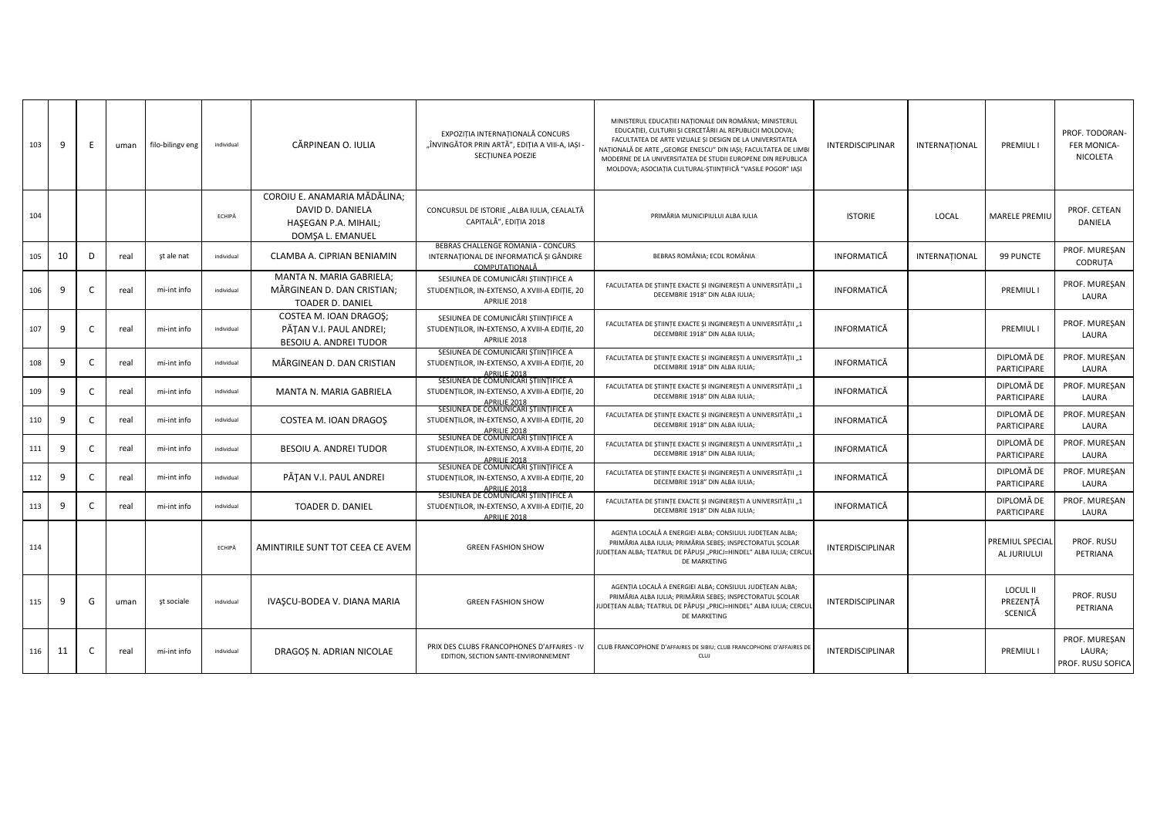| 103 | 9  | E            | uman | filo-bilingy eng | individual | CĂRPINEAN O. IULIA                                                                           | EXPOZITIA INTERNATIONALĂ CONCURS<br>"ÎNVINGĂTOR PRIN ARTĂ", EDITIA A VIII-A, IASI -<br>SECTIUNEA POEZIE                                                       | MINISTERUL EDUCAȚIEI NAȚIONALE DIN ROMÂNIA; MINISTERUL<br>EDUCATIEI, CULTURII ȘI CERCETĂRII AL REPUBLICII MOLDOVA;<br>FACULTATEA DE ARTE VIZUALE ȘI DESIGN DE LA UNIVERSITATEA<br>NAȚIONALĂ DE ARTE "GEORGE ENESCU" DIN IAȘI; FACULTATEA DE LIMB<br>MODERNE DE LA UNIVERSITATEA DE STUDII EUROPENE DIN REPUBLICA<br>MOLDOVA; ASOCIAȚIA CULTURAL-ȘTIINȚIFICĂ "VASILE POGOR" IAȘI | <b>INTERDISCIPLINAR</b> | INTERNATIONAL | <b>PREMIULI</b>                        | PROF. TODORAN-<br><b>FER MONICA-</b><br>NICOLETA |
|-----|----|--------------|------|------------------|------------|----------------------------------------------------------------------------------------------|---------------------------------------------------------------------------------------------------------------------------------------------------------------|---------------------------------------------------------------------------------------------------------------------------------------------------------------------------------------------------------------------------------------------------------------------------------------------------------------------------------------------------------------------------------|-------------------------|---------------|----------------------------------------|--------------------------------------------------|
| 104 |    |              |      |                  | ECHIPĂ     | COROIU E. ANAMARIA MĂDĂLINA:<br>DAVID D. DANIELA<br>HAŞEGAN P.A. MIHAIL;<br>DOMȘA L. EMANUEL | CONCURSUL DE ISTORIE "ALBA IULIA, CEALALTĂ<br>CAPITALĂ", EDITIA 2018                                                                                          | PRIMĂRIA MUNICIPIULUI ALBA IULIA                                                                                                                                                                                                                                                                                                                                                | <b>ISTORIE</b>          | LOCAL         | MARELE PREMIU                          | PROF. CETEAN<br>DANIELA                          |
| 105 | 10 | D            | real | st ale nat       | individual | CLAMBA A. CIPRIAN BENIAMIN                                                                   | BEBRAS CHALLENGE ROMANIA - CONCURS<br>INTERNATIONAL DE INFORMATICĂ ȘI GÂNDIRE<br>COMPUTATIONALĂ                                                               | BEBRAS ROMÂNIA; ECDL ROMÂNIA                                                                                                                                                                                                                                                                                                                                                    | <b>INFORMATICĂ</b>      | INTERNATIONAL | 99 PUNCTE                              | PROF. MURESAN<br>CODRUTA                         |
| 106 | 9  |              | real | mi-int info      | individual | MANTA N. MARIA GABRIELA:<br>MĂRGINEAN D. DAN CRISTIAN;<br>TOADER D. DANIEL                   | SESIUNEA DE COMUNICĂRI STIINTIFICE A<br>STUDENTILOR, IN-EXTENSO, A XVIII-A EDITIE, 20<br>APRILIE 2018                                                         | FACULTATEA DE ȘTIINȚE EXACTE ȘI INGINEREȘTI A UNIVERSITĂȚII "1<br>DECEMBRIE 1918" DIN ALBA IULIA;                                                                                                                                                                                                                                                                               | INFORMATICĂ             |               | PREMIUL I                              | PROF. MURESAN<br>LAURA                           |
| 107 | 9  | $\mathsf{C}$ | real | mi-int info      | individual | COSTEA M. IOAN DRAGOS;<br>PĂȚAN V.I. PAUL ANDREI;<br>BESOIU A. ANDREI TUDOR                  | SESIUNEA DE COMUNICĂRI STIINTIFICE A<br>STUDENTILOR, IN-EXTENSO, A XVIII-A EDITIE, 20<br>APRILIE 2018                                                         | FACULTATEA DE ȘTIINȚE EXACTE ȘI INGINEREȘTI A UNIVERSITĂȚII "1<br>DECEMBRIE 1918" DIN ALBA IULIA;                                                                                                                                                                                                                                                                               | INFORMATICĂ             |               | PREMIUL I                              | PROF. MURESAN<br>LAURA                           |
| 108 | 9  |              | real | mi-int info      | individual | MĂRGINEAN D. DAN CRISTIAN                                                                    | SESIUNEA DE COMUNICĂRI STIINTIFICE A<br>STUDENTILOR, IN-EXTENSO, A XVIII-A EDIȚIE, 20<br><b>APRILIE 2018</b>                                                  | FACULTATEA DE ȘTIINȚE EXACTE ȘI INGINEREȘTI A UNIVERSITĂȚII "1<br>DECEMBRIE 1918" DIN ALBA IULIA;                                                                                                                                                                                                                                                                               | INFORMATICĂ             |               | DIPLOMĂ DE<br>PARTICIPARE              | PROF. MURESAN<br>LAURA                           |
| 109 | 9  | C            | real | mi-int info      | individual | MANTA N. MARIA GABRIELA                                                                      | SESIUNEA DE COMUNICĂRI ȘTIINȚIFICE A<br>STUDENTILOR, IN-EXTENSO, A XVIII-A EDITIE, 20                                                                         | FACULTATEA DE STIINTE EXACTE SI INGINERESTI A UNIVERSITĂTII "1<br>DECEMBRIE 1918" DIN ALBA IULIA:                                                                                                                                                                                                                                                                               | INFORMATICĂ             |               | DIPLOMĂ DE<br>PARTICIPARE              | PROF. MURESAN<br>LAURA                           |
| 110 | 9  |              | real | mi-int info      | individual | COSTEA M. IOAN DRAGOS                                                                        | APRILIE 2018<br>SESIUNEA DE COMUNICARI ȘTIINȚIFICE A<br>STUDENTILOR, IN-EXTENSO, A XVIII-A EDITIE, 20<br>APRILIE 2018<br>SESIUNEA DE COMUNICARI ȘTIINȚIFICE A | FACULTATEA DE ȘTIINȚE EXACTE ȘI INGINEREȘTI A UNIVERSITĂȚII "1<br>DECEMBRIE 1918" DIN ALBA IULIA;                                                                                                                                                                                                                                                                               | INFORMATICĂ             |               | DIPLOMĂ DE<br>PARTICIPARE              | PROF. MUREȘAN<br>LAURA                           |
| 111 | 9  |              | real | mi-int info      | individual | BESOIU A. ANDREI TUDOR                                                                       | STUDENTILOR, IN-EXTENSO, A XVIII-A EDITIE, 20<br>APRILIE 2018                                                                                                 | FACULTATEA DE ȘTIINȚE EXACTE ȘI INGINEREȘTI A UNIVERSITĂȚII "1<br>DECEMBRIE 1918" DIN ALBA IULIA:                                                                                                                                                                                                                                                                               | INFORMATICĂ             |               | DIPLOMĂ DE<br>PARTICIPARE              | PROF. MUREȘAN<br>LAURA                           |
| 112 | 9  |              | real | mi-int info      | individual | PĂȚAN V.I. PAUL ANDREI                                                                       | SESIUNEA DE COMUNICĂRI ȘTIINȚIFICE A<br>STUDENTILOR, IN-EXTENSO, A XVIII-A EDITIE, 20<br>APRILIE 2018                                                         | FACULTATEA DE ȘTIINȚE EXACTE ȘI INGINEREȘTI A UNIVERSITĂȚII "1<br>DECEMBRIE 1918" DIN ALBA IULIA;                                                                                                                                                                                                                                                                               | INFORMATICĂ             |               | DIPLOMĂ DE<br>PARTICIPARE              | PROF. MURESAN<br>LAURA                           |
| 113 | 9  |              | real | mi-int info      | individual | <b>TOADER D. DANIEL</b>                                                                      | SESIUNEA DE COMUNICĂRI STIINTIFICE A<br>STUDENTILOR, IN-EXTENSO, A XVIII-A EDITIE, 20<br>APRILIE 2018                                                         | FACULTATEA DE ȘTIINȚE EXACTE ȘI INGINEREȘTI A UNIVERSITĂȚII "1<br>DECEMBRIE 1918" DIN ALBA IULIA:                                                                                                                                                                                                                                                                               | INFORMATICĂ             |               | DIPLOMĂ DE<br>PARTICIPARE              | PROF. MUREȘAN<br>LAURA                           |
| 114 |    |              |      |                  | ECHIPĂ     | AMINTIRILE SUNT TOT CEEA CE AVEM                                                             | <b>GREEN FASHION SHOW</b>                                                                                                                                     | AGENTIA LOCALĂ A ENERGIEI ALBA; CONSILIUL JUDETEAN ALBA;<br>PRIMĂRIA ALBA IULIA; PRIMĂRIA SEBES; INSPECTORATUL SCOLAR<br>JUDEȚEAN ALBA; TEATRUL DE PĂPUȘI "PRICJ=HINDEL" ALBA IULIA; CERCUI<br>DE MARKETING                                                                                                                                                                     | <b>INTERDISCIPLINAR</b> |               | PREMIUL SPECIAL<br>AL JURIULUI         | PROF. RUSU<br>PETRIANA                           |
| 115 | 9  | G            | uman | st sociale       | individual | IVASCU-BODEA V. DIANA MARIA                                                                  | <b>GREEN FASHION SHOW</b>                                                                                                                                     | AGENTIA LOCALĂ A ENERGIEI ALBA; CONSILIUL JUDETEAN ALBA;<br>PRIMĂRIA ALBA IULIA; PRIMĂRIA SEBES; INSPECTORATUL SCOLAR<br>JUDETEAN ALBA; TEATRUL DE PĂPUȘI "PRICJ=HINDEL" ALBA IULIA; CERCUI<br>DE MARKETING                                                                                                                                                                     | INTERDISCIPLINAR        |               | <b>LOCUL II</b><br>PREZENȚĂ<br>SCENICĂ | PROF. RUSU<br>PETRIANA                           |
| 116 | 11 |              | real | mi-int info      | individual | DRAGOȘ N. ADRIAN NICOLAE                                                                     | PRIX DES CLUBS FRANCOPHONES D'AFFAIRES - IV<br>EDITION, SECTION SANTE-ENVIRONNEMENT                                                                           | CLUB FRANCOPHONE D'AFFAIRES DE SIBIU; CLUB FRANCOPHONE D'AFFAIRES DE<br><b>CLUI</b>                                                                                                                                                                                                                                                                                             | <b>INTERDISCIPLINAR</b> |               | PREMIUL I                              | PROF. MURESAN<br>LAURA;<br>PROF. RUSU SOFICA     |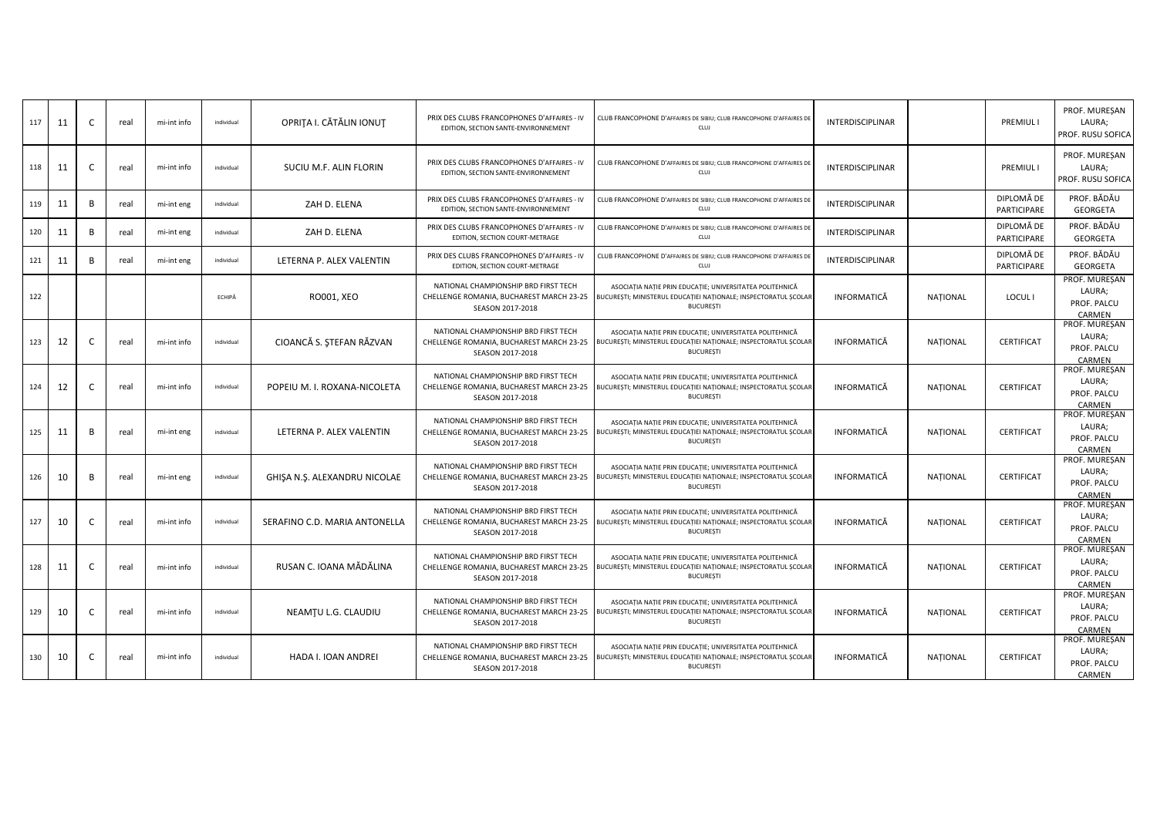|     |    |    |      |             |            |                               |                                                                                                      |                                                                                                                                                 |                         |                 |                           | PROF. MURESAN                                    |
|-----|----|----|------|-------------|------------|-------------------------------|------------------------------------------------------------------------------------------------------|-------------------------------------------------------------------------------------------------------------------------------------------------|-------------------------|-----------------|---------------------------|--------------------------------------------------|
| 117 | 11 | C  | real | mi-int info | individual | OPRITA I. CĂTĂLIN IONUT       | PRIX DES CLUBS FRANCOPHONES D'AFFAIRES - IV<br>EDITION, SECTION SANTE-ENVIRONNEMENT                  | CLUB FRANCOPHONE D'AFFAIRES DE SIBIU; CLUB FRANCOPHONE D'AFFAIRES DE<br>CLUJ                                                                    | <b>INTERDISCIPLINAR</b> |                 | <b>PREMIUL I</b>          | LAURA;<br>PROF. RUSU SOFICA                      |
| 118 | 11 | C  | real | mi-int info | individual | SUCIU M.F. ALIN FLORIN        | PRIX DES CLUBS FRANCOPHONES D'AFFAIRES - IV<br>EDITION, SECTION SANTE-ENVIRONNEMENT                  | CLUB FRANCOPHONE D'AFFAIRES DE SIBIU; CLUB FRANCOPHONE D'AFFAIRES DE<br>CLUJ                                                                    | <b>INTERDISCIPLINAR</b> |                 | PREMIUL I                 | PROF. MURESAN<br>LAURA;<br>PROF. RUSU SOFICA     |
| 119 | 11 | B  | real | mi-int eng  | individual | ZAH D. ELENA                  | PRIX DES CLUBS FRANCOPHONES D'AFFAIRES - IV<br>EDITION, SECTION SANTE-ENVIRONNEMENT                  | CLUB FRANCOPHONE D'AFFAIRES DE SIBIU; CLUB FRANCOPHONE D'AFFAIRES DE<br>CLUJ                                                                    | INTERDISCIPLINAR        |                 | DIPLOMĂ DE<br>PARTICIPARE | PROF. BĂDĂU<br><b>GEORGETA</b>                   |
| 120 | 11 | B  | real | mi-int eng  | individual | ZAH D. ELENA                  | PRIX DES CLUBS FRANCOPHONES D'AFFAIRES - IV<br>EDITION, SECTION COURT-METRAGE                        | CLUB FRANCOPHONE D'AFFAIRES DE SIBIU; CLUB FRANCOPHONE D'AFFAIRES DE<br><b>CLUJ</b>                                                             | INTERDISCIPLINAR        |                 | DIPLOMĂ DE<br>PARTICIPARE | PROF. BĂDĂU<br>GEORGETA                          |
| 121 | 11 | B  | real | mi-int eng  | individual | LETERNA P. ALEX VALENTIN      | PRIX DES CLUBS FRANCOPHONES D'AFFAIRES - IV<br>EDITION, SECTION COURT-METRAGE                        | CLUB FRANCOPHONE D'AFFAIRES DE SIBIU; CLUB FRANCOPHONE D'AFFAIRES DE<br>CLUJ                                                                    | INTERDISCIPLINAR        |                 | DIPLOMĂ DE<br>PARTICIPARE | PROF. BĂDĂU<br><b>GEORGETA</b>                   |
| 122 |    |    |      |             | ECHIPĂ     | RO001, XEO                    | NATIONAL CHAMPIONSHIP BRD FIRST TECH<br>CHELLENGE ROMANIA, BUCHAREST MARCH 23-25<br>SEASON 2017-2018 | ASOCIAȚIA NAȚIE PRIN EDUCAȚIE; UNIVERSITATEA POLITEHNICĂ<br>BUCUREȘTI; MINISTERUL EDUCAȚIEI NAȚIONALE; INSPECTORATUL ȘCOLAR<br><b>BUCUREȘTI</b> | INFORMATICĂ             | <b>NATIONAL</b> | LOCUL I                   | PROF. MUREŞAN<br>LAURA;<br>PROF. PALCU<br>CARMEN |
| 123 | 12 | C  | real | mi-int info | individual | CIOANCĂ S. ȘTEFAN RĂZVAN      | NATIONAL CHAMPIONSHIP BRD FIRST TECH<br>CHELLENGE ROMANIA, BUCHAREST MARCH 23-25<br>SEASON 2017-2018 | ASOCIAȚIA NAȚIE PRIN EDUCAȚIE; UNIVERSITATEA POLITEHNICĂ<br>BUCUREȘTI; MINISTERUL EDUCAȚIEI NAȚIONALE; INSPECTORATUL ȘCOLAR<br><b>BUCUREȘTI</b> | INFORMATICĂ             | <b>NATIONAL</b> | <b>CERTIFICAT</b>         | PROF. MUREȘAN<br>LAURA;<br>PROF. PALCU<br>CARMEN |
| 124 | 12 | C. | real | mi-int info | individual | POPEIU M. I. ROXANA-NICOLETA  | NATIONAL CHAMPIONSHIP BRD FIRST TECH<br>CHELLENGE ROMANIA, BUCHAREST MARCH 23-25<br>SEASON 2017-2018 | ASOCIAȚIA NAȚIE PRIN EDUCAȚIE; UNIVERSITATEA POLITEHNICĂ<br>BUCUREȘTI; MINISTERUL EDUCAȚIEI NAȚIONALE; INSPECTORATUL ȘCOLAR<br><b>BUCUREȘTI</b> | INFORMATICĂ             | <b>NATIONAL</b> | <b>CERTIFICAT</b>         | PROF. MUREȘAN<br>LAURA;<br>PROF. PALCU<br>CARMEN |
| 125 | 11 | B  | real | mi-int eng  | individual | LETERNA P. ALEX VALENTIN      | NATIONAL CHAMPIONSHIP BRD FIRST TECH<br>CHELLENGE ROMANIA, BUCHAREST MARCH 23-25<br>SEASON 2017-2018 | ASOCIAȚIA NAȚIE PRIN EDUCAȚIE; UNIVERSITATEA POLITEHNICĂ<br>BUCUREȘTI; MINISTERUL EDUCAȚIEI NAȚIONALE; INSPECTORATUL ȘCOLAR<br><b>BUCUREȘTI</b> | INFORMATICĂ             | <b>NATIONAL</b> | CERTIFICAT                | PROF. MUREȘAN<br>LAURA;<br>PROF. PALCU<br>CARMEN |
| 126 | 10 | B  | real | mi-int eng  | individual | GHIŞA N.Ş. ALEXANDRU NICOLAE  | NATIONAL CHAMPIONSHIP BRD FIRST TECH<br>CHELLENGE ROMANIA, BUCHAREST MARCH 23-25<br>SEASON 2017-2018 | ASOCIAȚIA NAȚIE PRIN EDUCAȚIE; UNIVERSITATEA POLITEHNICĂ<br>BUCUREȘTI; MINISTERUL EDUCAȚIEI NAȚIONALE; INSPECTORATUL ȘCOLAR<br><b>BUCUREȘTI</b> | <b>INFORMATICĂ</b>      | <b>NATIONAL</b> | CERTIFICAT                | PROF. MUREŞAN<br>LAURA;<br>PROF. PALCU<br>CARMEN |
| 127 | 10 | C  | real | mi-int info | individual | SERAFINO C.D. MARIA ANTONELLA | NATIONAL CHAMPIONSHIP BRD FIRST TECH<br>CHELLENGE ROMANIA, BUCHAREST MARCH 23-25<br>SEASON 2017-2018 | ASOCIAȚIA NAȚIE PRIN EDUCAȚIE; UNIVERSITATEA POLITEHNICĂ<br>BUCUREȘTI; MINISTERUL EDUCAȚIEI NAȚIONALE; INSPECTORATUL ȘCOLAR<br><b>BUCUREȘTI</b> | INFORMATICĂ             | NATIONAL        | <b>CERTIFICAT</b>         | PROF. MUREŞAN<br>LAURA;<br>PROF. PALCU<br>CARMEN |
| 128 | 11 | C  | real | mi-int info | individual | RUSAN C. IOANA MĂDĂLINA       | NATIONAL CHAMPIONSHIP BRD FIRST TECH<br>CHELLENGE ROMANIA, BUCHAREST MARCH 23-25<br>SEASON 2017-2018 | ASOCIAȚIA NAȚIE PRIN EDUCAȚIE; UNIVERSITATEA POLITEHNICĂ<br>BUCUREȘTI; MINISTERUL EDUCAȚIEI NAȚIONALE; INSPECTORATUL ȘCOLAR<br><b>BUCUREȘTI</b> | INFORMATICĂ             | <b>NATIONAL</b> | CERTIFICAT                | PROF. MUREŞAN<br>LAURA;<br>PROF. PALCU<br>CARMEN |
| 129 | 10 | C  | real | mi-int info | individual | NEAMTU L.G. CLAUDIU           | NATIONAL CHAMPIONSHIP BRD FIRST TECH<br>CHELLENGE ROMANIA, BUCHAREST MARCH 23-25<br>SEASON 2017-2018 | ASOCIAȚIA NAȚIE PRIN EDUCAȚIE; UNIVERSITATEA POLITEHNICĂ<br>BUCUREȘTI; MINISTERUL EDUCAȚIEI NAȚIONALE; INSPECTORATUL ȘCOLAR<br><b>BUCUREȘTI</b> | INFORMATICĂ             | <b>NATIONAL</b> | <b>CERTIFICAT</b>         | PROF. MUREȘAN<br>LAURA;<br>PROF. PALCU<br>CARMEN |
| 130 | 10 | C  | real | mi-int info | individual | HADA I. IOAN ANDREI           | NATIONAL CHAMPIONSHIP BRD FIRST TECH<br>CHELLENGE ROMANIA, BUCHAREST MARCH 23-25<br>SEASON 2017-2018 | ASOCIAȚIA NAȚIE PRIN EDUCAȚIE; UNIVERSITATEA POLITEHNICĂ<br>BUCUREȘTI; MINISTERUL EDUCAȚIEI NAȚIONALE; INSPECTORATUL ȘCOLAR<br><b>BUCUREȘTI</b> | <b>INFORMATICĂ</b>      | <b>NATIONAL</b> | <b>CERTIFICAT</b>         | PROF. MUREȘAN<br>LAURA;<br>PROF. PALCU<br>CARMEN |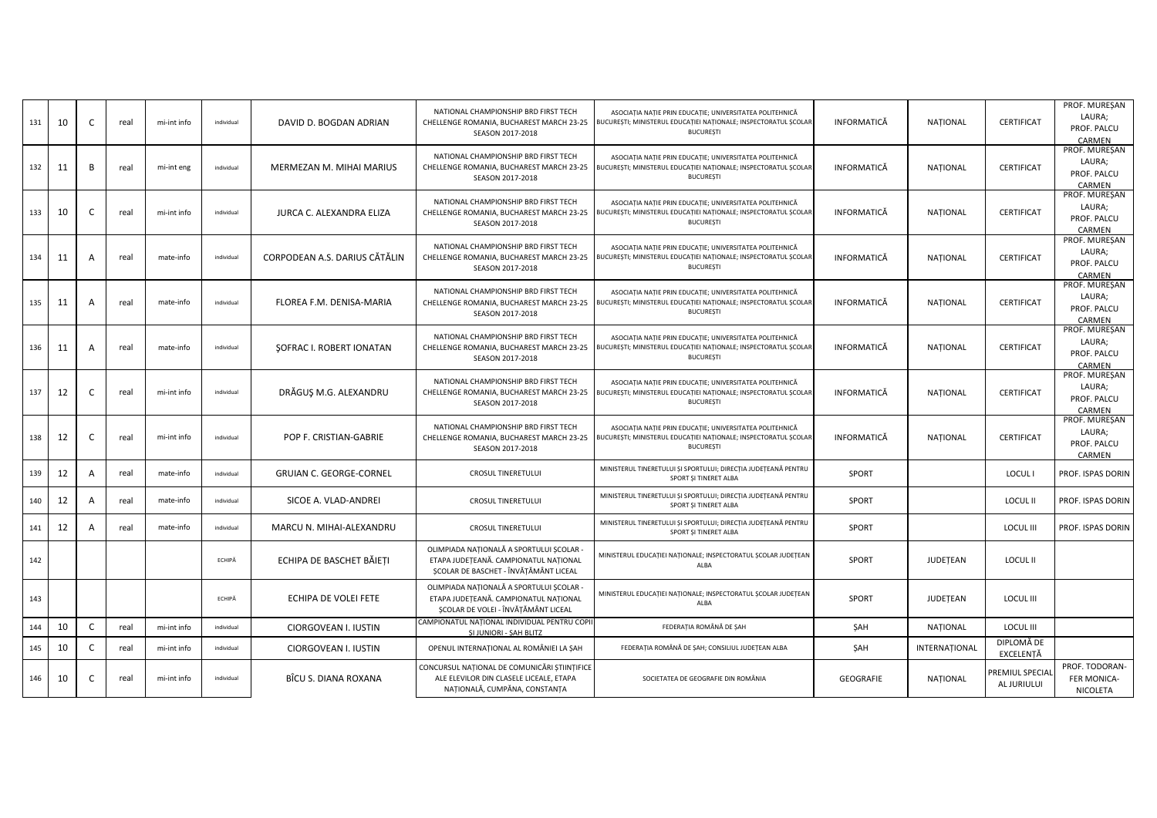| 131 | 10 | C            | real | mi-int info | individual | DAVID D. BOGDAN ADRIAN         | NATIONAL CHAMPIONSHIP BRD FIRST TECH<br>CHELLENGE ROMANIA, BUCHAREST MARCH 23-25<br>SEASON 2017-2018                       | ASOCIATIA NATIE PRIN EDUCATIE; UNIVERSITATEA POLITEHNICĂ<br>BUCUREȘTI; MINISTERUL EDUCAȚIEI NAȚIONALE; INSPECTORATUL ȘCOLAR<br><b>BUCUREȘTI</b> | <b>INFORMATICĂ</b> | <b>NATIONAL</b> | <b>CERTIFICAT</b>              | PROF. MUREŞAN<br>LAURA;<br>PROF. PALCU<br>CARMEN |
|-----|----|--------------|------|-------------|------------|--------------------------------|----------------------------------------------------------------------------------------------------------------------------|-------------------------------------------------------------------------------------------------------------------------------------------------|--------------------|-----------------|--------------------------------|--------------------------------------------------|
| 132 | 11 | B            | real | mi-int eng  | individual | MERMEZAN M. MIHAI MARIUS       | NATIONAL CHAMPIONSHIP BRD FIRST TECH<br>CHELLENGE ROMANIA, BUCHAREST MARCH 23-25<br>SEASON 2017-2018                       | ASOCIAȚIA NAȚIE PRIN EDUCAȚIE; UNIVERSITATEA POLITEHNICĂ<br>BUCUREȘTI; MINISTERUL EDUCAȚIEI NAȚIONALE; INSPECTORATUL ȘCOLAR<br><b>BUCUREȘTI</b> | INFORMATICĂ        | <b>NATIONAL</b> | <b>CERTIFICAT</b>              | PROF. MUREŞAN<br>LAURA;<br>PROF. PALCU<br>CARMEN |
| 133 | 10 | $\mathsf{C}$ | real | mi-int info | individual | JURCA C. ALEXANDRA ELIZA       | NATIONAL CHAMPIONSHIP BRD FIRST TECH<br>CHELLENGE ROMANIA, BUCHAREST MARCH 23-25<br>SEASON 2017-2018                       | ASOCIATIA NATIE PRIN EDUCATIE; UNIVERSITATEA POLITEHNICĂ<br>BUCUREȘTI; MINISTERUL EDUCAȚIEI NAȚIONALE; INSPECTORATUL ȘCOLAR<br><b>BUCUREȘTI</b> | INFORMATICĂ        | <b>NATIONAL</b> | CERTIFICAT                     | PROF. MUREŞAN<br>LAURA;<br>PROF. PALCU<br>CARMEN |
| 134 | 11 | A            | real | mate-info   | individual | CORPODEAN A.S. DARIUS CĂTĂLIN  | NATIONAL CHAMPIONSHIP BRD FIRST TECH<br>CHELLENGE ROMANIA, BUCHAREST MARCH 23-25<br>SEASON 2017-2018                       | ASOCIAȚIA NAȚIE PRIN EDUCAȚIE; UNIVERSITATEA POLITEHNICĂ<br>BUCUREȘTI; MINISTERUL EDUCAȚIEI NAȚIONALE; INSPECTORATUL ȘCOLAR<br><b>BUCUREȘTI</b> | INFORMATICĂ        | <b>NATIONAL</b> | <b>CERTIFICAT</b>              | PROF. MUREŞAN<br>LAURA;<br>PROF. PALCU<br>CARMEN |
| 135 | 11 | A            | real | mate-info   | individual | FLOREA F.M. DENISA-MARIA       | NATIONAL CHAMPIONSHIP BRD FIRST TECH<br>CHELLENGE ROMANIA, BUCHAREST MARCH 23-25<br>SEASON 2017-2018                       | ASOCIAȚIA NAȚIE PRIN EDUCAȚIE; UNIVERSITATEA POLITEHNICĂ<br>BUCUREȘTI; MINISTERUL EDUCAȚIEI NAȚIONALE; INSPECTORATUL ȘCOLAR<br><b>BUCUREȘTI</b> | INFORMATICĂ        | <b>NATIONAL</b> | <b>CERTIFICAT</b>              | PROF. MUREȘAN<br>LAURA;<br>PROF. PALCU<br>CARMEN |
| 136 | 11 | A            | real | mate-info   | individual | SOFRAC I. ROBERT IONATAN       | NATIONAL CHAMPIONSHIP BRD FIRST TECH<br>CHELLENGE ROMANIA, BUCHAREST MARCH 23-25<br>SEASON 2017-2018                       | ASOCIAȚIA NAȚIE PRIN EDUCAȚIE; UNIVERSITATEA POLITEHNICĂ<br>BUCUREȘTI; MINISTERUL EDUCAȚIEI NAȚIONALE; INSPECTORATUL ȘCOLAR<br><b>BUCUREȘTI</b> | INFORMATICĂ        | <b>NATIONAL</b> | <b>CERTIFICAT</b>              | PROF. MUREȘAN<br>LAURA;<br>PROF. PALCU<br>CARMEN |
| 137 | 12 | $\mathsf{C}$ | real | mi-int info | individual | DRĂGUȘ M.G. ALEXANDRU          | NATIONAL CHAMPIONSHIP BRD FIRST TECH<br>CHELLENGE ROMANIA, BUCHAREST MARCH 23-25<br>SEASON 2017-2018                       | ASOCIAȚIA NAȚIE PRIN EDUCAȚIE; UNIVERSITATEA POLITEHNICĂ<br>BUCUREȘTI; MINISTERUL EDUCAȚIEI NAȚIONALE; INSPECTORATUL ȘCOLAR<br><b>BUCUREȘTI</b> | INFORMATICĂ        | <b>NATIONAL</b> | <b>CERTIFICAT</b>              | PROF. MUREȘAN<br>LAURA;<br>PROF. PALCU<br>CARMEN |
| 138 | 12 | C            | real | mi-int info | individual | POP F. CRISTIAN-GABRIE         | NATIONAL CHAMPIONSHIP BRD FIRST TECH<br>CHELLENGE ROMANIA, BUCHAREST MARCH 23-25<br>SEASON 2017-2018                       | ASOCIAȚIA NAȚIE PRIN EDUCAȚIE; UNIVERSITATEA POLITEHNICĂ<br>BUCUREȘTI; MINISTERUL EDUCAȚIEI NAȚIONALE; INSPECTORATUL ȘCOLAR<br><b>BUCUREȘTI</b> | INFORMATICĂ        | NAȚIONAL        | CERTIFICAT                     | PROF. MUREŞAN<br>LAURA;<br>PROF. PALCU<br>CARMEN |
| 139 | 12 | A            | real | mate-info   | individual | <b>GRUIAN C. GEORGE-CORNEL</b> | <b>CROSUL TINERETULUI</b>                                                                                                  | MINISTERUL TINERETULUI ȘI SPORTULUI; DIRECȚIA JUDEȚEANĂ PENTRU<br>SPORT ȘI TINERET ALBA                                                         | <b>SPORT</b>       |                 | LOCUL I                        | PROF. ISPAS DORIN                                |
| 140 | 12 | A            | real | mate-info   | individual | SICOE A. VLAD-ANDREI           | <b>CROSUL TINERETULUI</b>                                                                                                  | MINISTERUL TINERETULUI ȘI SPORTULUI; DIRECȚIA JUDEȚEANĂ PENTRU<br>SPORT ȘI TINERET ALBA                                                         | SPORT              |                 | <b>LOCUL II</b>                | PROF. ISPAS DORIN                                |
| 141 | 12 | A            | real | mate-info   | individual | MARCU N. MIHAI-ALEXANDRU       | <b>CROSUL TINERETULUI</b>                                                                                                  | MINISTERUL TINERETULUI ȘI SPORTULUI; DIRECȚIA JUDEȚEANĂ PENTRU<br>SPORT SI TINERET ALBA                                                         | SPORT              |                 | <b>LOCUL III</b>               | PROF. ISPAS DORIN                                |
| 142 |    |              |      |             | ECHIPĂ     | ECHIPA DE BASCHET BĂIEȚI       | OLIMPIADA NATIONALĂ A SPORTULUI SCOLAR -<br>ETAPA JUDEȚEANĂ. CAMPIONATUL NAȚIONAL<br>ȘCOLAR DE BASCHET - ÎNVĂȚĂMÂNT LICEAL | MINISTERUL EDUCAȚIEI NAȚIONALE; INSPECTORATUL ȘCOLAR JUDEȚEAN<br>ALBA                                                                           | SPORT              | JUDETEAN        | <b>LOCUL II</b>                |                                                  |
| 143 |    |              |      |             | ECHIPĂ     | ECHIPA DE VOLEI FETE           | OLIMPIADA NAȚIONALĂ A SPORTULUI ȘCOLAR -<br>ETAPA JUDEȚEANĂ. CAMPIONATUL NAȚIONAL<br>ȘCOLAR DE VOLEI - ÎNVĂȚĂMÂNT LICEAL   | MINISTERUL EDUCAȚIEI NAȚIONALE; INSPECTORATUL ȘCOLAR JUDEȚEAN<br>ALBA                                                                           | SPORT              | JUDETEAN        | <b>LOCUL III</b>               |                                                  |
| 144 | 10 | C            | real | mi-int info | individual | CIORGOVEAN I. IUSTIN           | CAMPIONATUL NATIONAL INDIVIDUAL PENTRU COPII<br>SI JUNIORI - SAH BLITZ                                                     | FEDERAȚIA ROMÂNĂ DE ȘAH                                                                                                                         | ŞAH                | NAȚIONAL        | <b>LOCUL III</b>               |                                                  |
| 145 | 10 | C            | real | mi-int info | individual | CIORGOVEAN I. IUSTIN           | OPENUL INTERNAȚIONAL AL ROMÂNIEI LA ȘAH                                                                                    | FEDERAȚIA ROMÂNĂ DE ȘAH; CONSILIUL JUDEȚEAN ALBA                                                                                                | ŞAH                | INTERNAȚIONAL   | DIPLOMĂ DE<br>EXCELENȚĂ        |                                                  |
| 146 | 10 | C            | real | mi-int info | individual | BÎCU S. DIANA ROXANA           | CONCURSUL NAȚIONAL DE COMUNICĂRI ȘTIINȚIFICE<br>ALE ELEVILOR DIN CLASELE LICEALE, ETAPA<br>NAȚIONALĂ, CUMPĂNA, CONSTANȚA   | SOCIETATEA DE GEOGRAFIE DIN ROMÂNIA                                                                                                             | GEOGRAFIE          | NATIONAL        | PREMIUL SPECIAL<br>AL JURIULUI | PROF. TODORAN-<br>FER MONICA-<br>NICOLETA        |